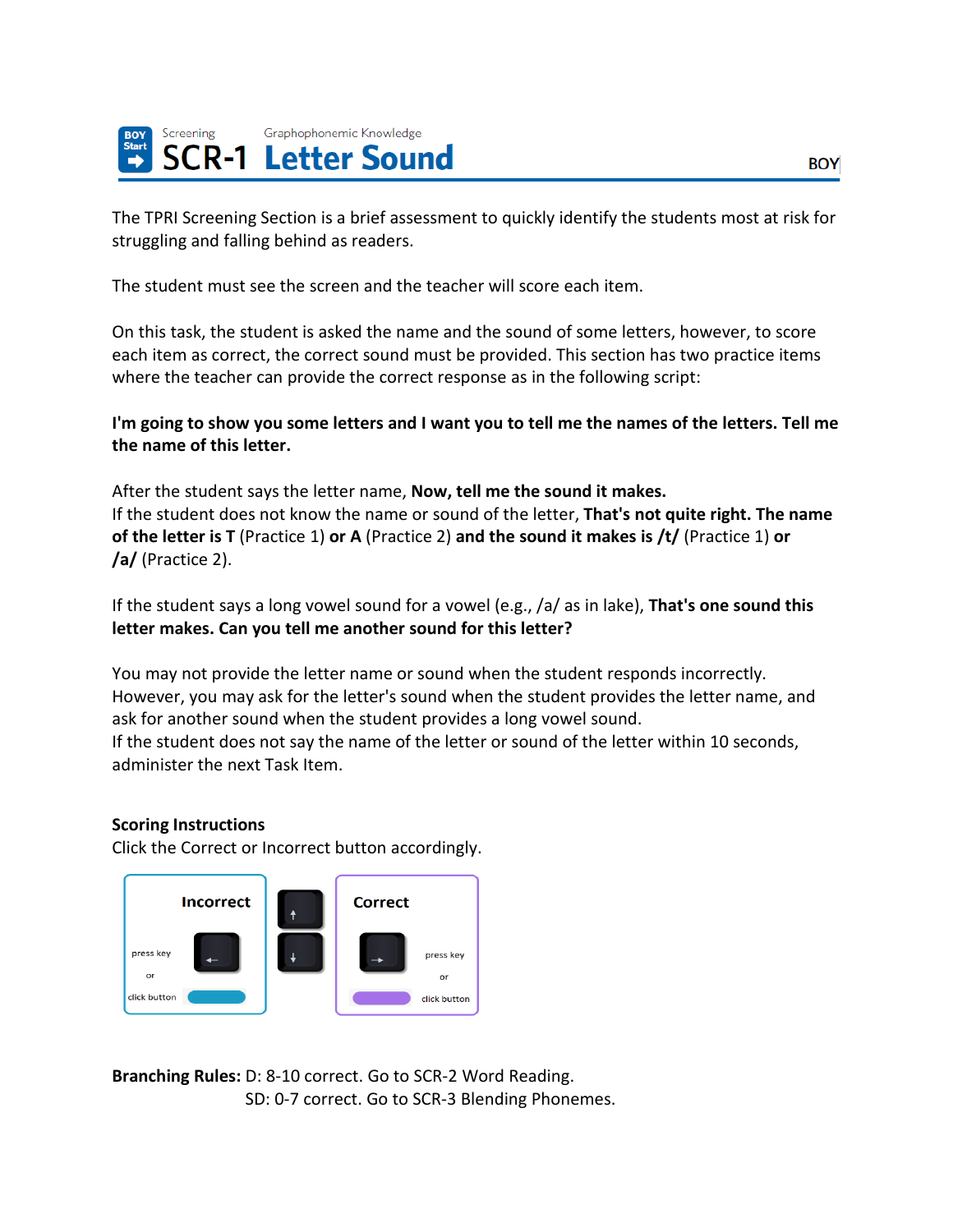

The TPRI Screening Section is a brief assessment to quickly identify the students most at risk for struggling and falling behind as readers.

The student must see the screen and the teacher will score each item.

On this task, the student is asked the name and the sound of some letters, however, to score each item as correct, the correct sound must be provided. This section has two practice items where the teacher can provide the correct response as in the following script:

I'm going to show you some letters and I want you to tell me the names of the letters. Tell me **the name of this letter.**

After the student says the letter name, **Now, tell me the sound it makes.** If the student does not know the name or sound of the letter, **That's not quite right. The name of the letter is T** (Practice 1) **or A** (Practice 2) **and the sound it makes is /t/** (Practice 1) **or /a/** (Practice 2).

If the student says a long vowel sound for a vowel (e.g., /a/ as in lake), **That's one sound this letter makes. Can you tell me another sound for this letter?**

You may not provide the letter name or sound when the student responds incorrectly. However, you may ask for the letter's sound when the student provides the letter name, and ask for another sound when the student provides a long vowel sound. If the student does not say the name of the letter or sound of the letter within 10 seconds, administer the next Task Item.

# **Scoring Instructions**

Click the Correct or Incorrect button accordingly.



**Branching Rules:** D: 8-10 correct. Go to SCR-2 Word Reading. SD: 0-7 correct. Go to SCR-3 Blending Phonemes.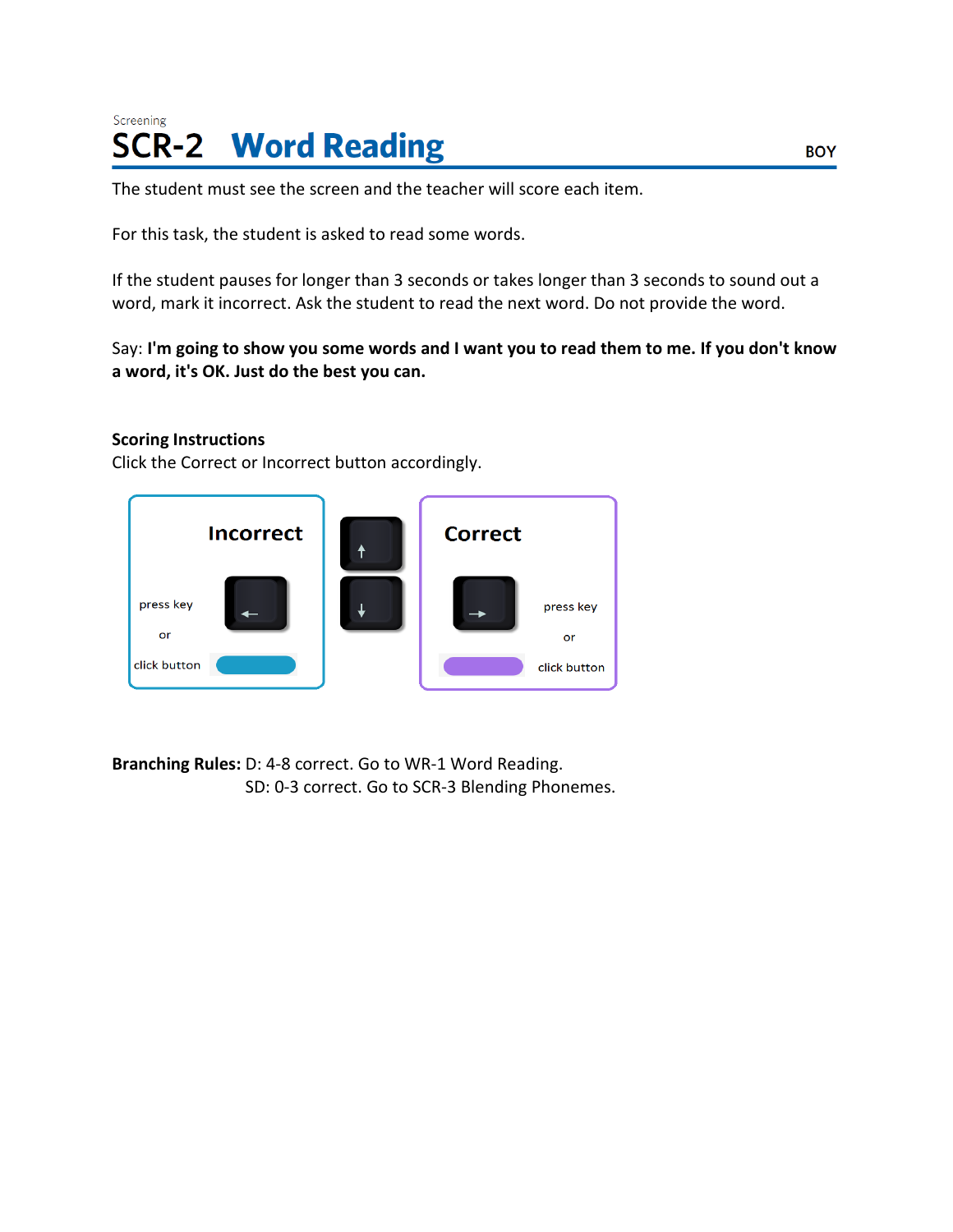# Screening **SCR-2 Word Reading**

The student must see the screen and the teacher will score each item.

For this task, the student is asked to read some words.

If the student pauses for longer than 3 seconds or takes longer than 3 seconds to sound out a word, mark it incorrect. Ask the student to read the next word. Do not provide the word.

Say: I'm going to show you some words and I want you to read them to me. If you don't know **a word, it's OK. Just do the best you can.**

### **Scoring Instructions**

Click the Correct or Incorrect button accordingly.



**Branching Rules:** D: 4-8 correct. Go to WR-1 Word Reading. SD: 0-3 correct. Go to SCR-3 Blending Phonemes.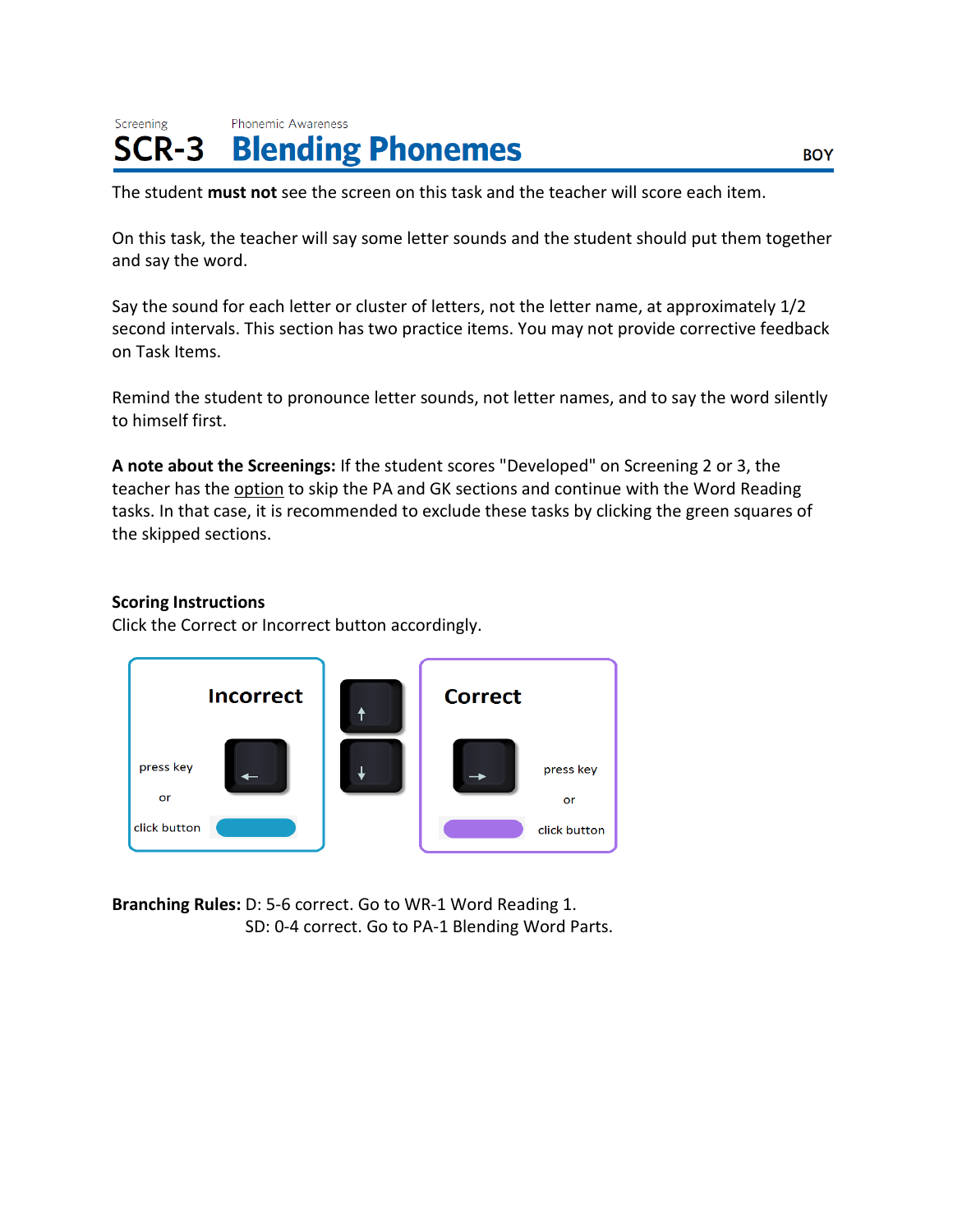#### Screening **Phonemic Awareness Blending Phonemes** SCR-3

The student **must not** see the screen on this task and the teacher will score each item.

On this task, the teacher will say some letter sounds and the student should put them together and say the word.

Say the sound for each letter or cluster of letters, not the letter name, at approximately 1/2 second intervals. This section has two practice items. You may not provide corrective feedback on Task Items.

Remind the student to pronounce letter sounds, not letter names, and to say the word silently to himself first.

**A note about the Screenings:** If the student scores "Developed" on Screening 2 or 3, the teacher has the option to skip the PA and GK sections and continue with the Word Reading tasks. In that case, it is recommended to exclude these tasks by clicking the green squares of the skipped sections.

# **Scoring Instructions**

Click the Correct or Incorrect button accordingly.



**Branching Rules:** D: 5-6 correct. Go to WR-1 Word Reading 1. SD: 0-4 correct. Go to PA-1 Blending Word Parts.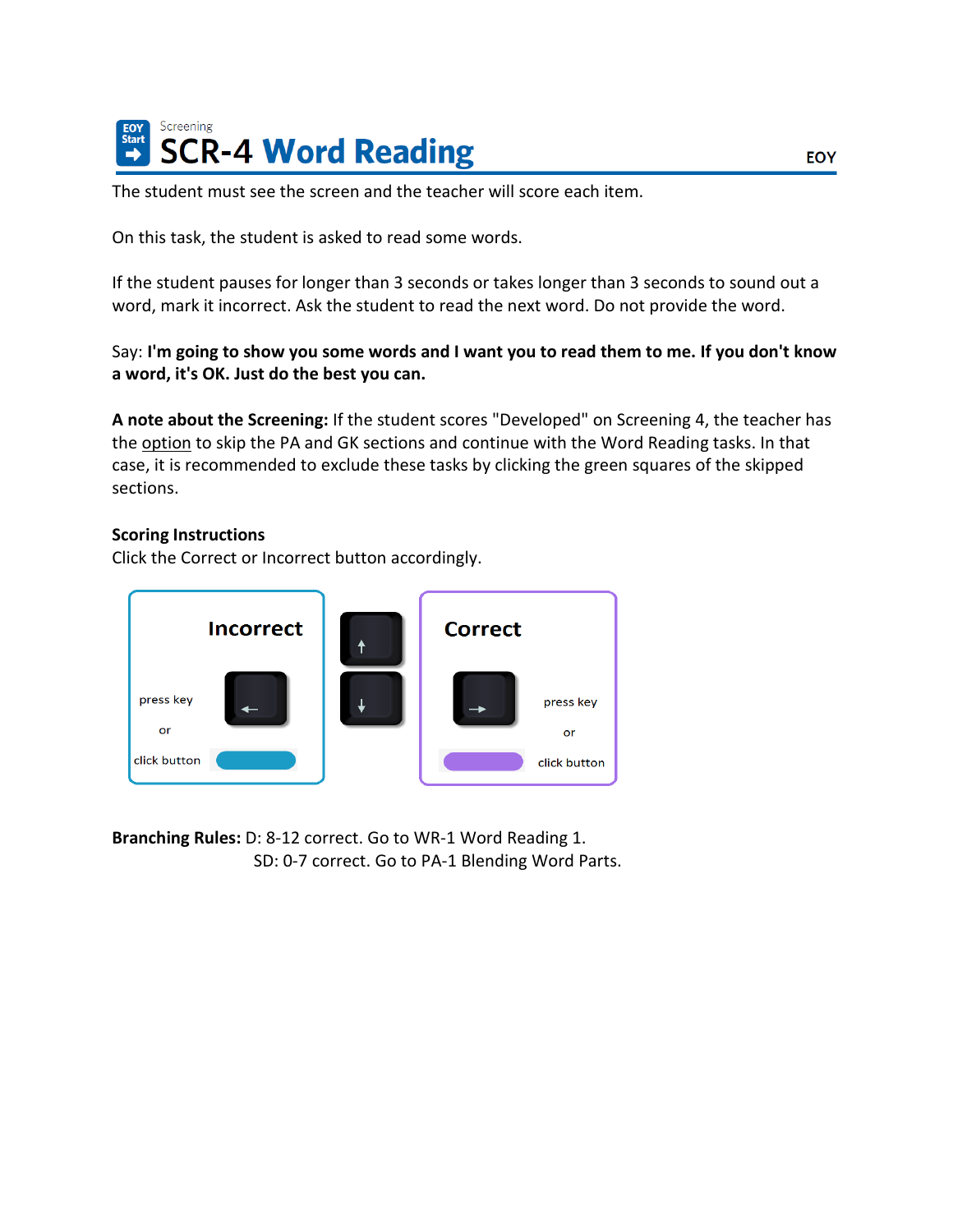

The student must see the screen and the teacher will score each item.

On this task, the student is asked to read some words.

If the student pauses for longer than 3 seconds or takes longer than 3 seconds to sound out a word, mark it incorrect. Ask the student to read the next word. Do not provide the word.

### Say: I'm going to show you some words and I want you to read them to me. If you don't know **a word, it's OK. Just do the best you can.**

**A note about the Screening:** If the student scores "Developed" on Screening 4, the teacher has the option to skip the PA and GK sections and continue with the Word Reading tasks. In that case, it is recommended to exclude these tasks by clicking the green squares of the skipped sections.

#### **Scoring Instructions**

Click the Correct or Incorrect button accordingly.



**Branching Rules:** D: 8-12 correct. Go to WR-1 Word Reading 1. SD: 0-7 correct. Go to PA-1 Blending Word Parts.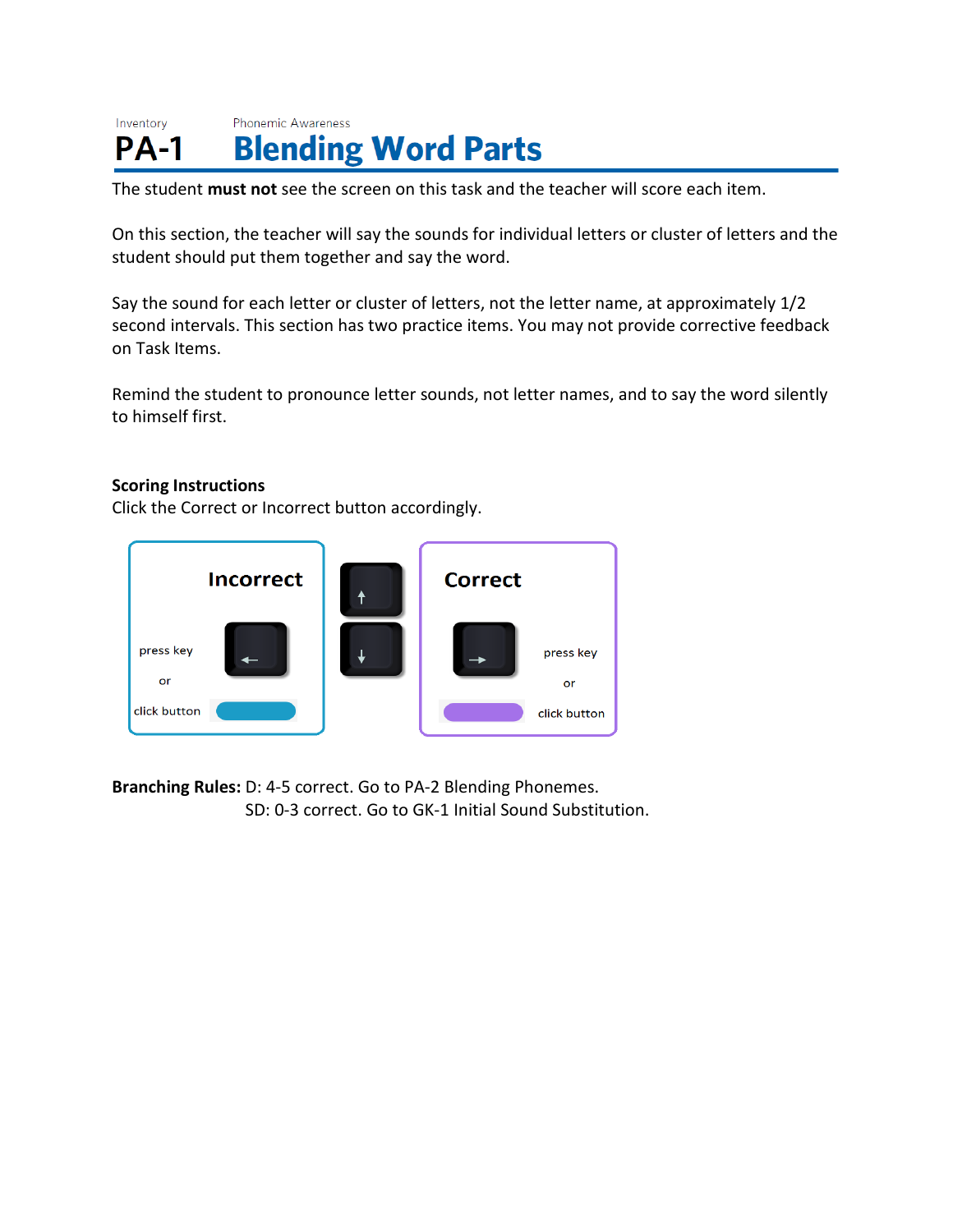#### Inventory Phonemic Awareness **Blending Word Parts PA-1**

The student **must not** see the screen on this task and the teacher will score each item.

On this section, the teacher will say the sounds for individual letters or cluster of letters and the student should put them together and say the word.

Say the sound for each letter or cluster of letters, not the letter name, at approximately 1/2 second intervals. This section has two practice items. You may not provide corrective feedback on Task Items.

Remind the student to pronounce letter sounds, not letter names, and to say the word silently to himself first.

# **Scoring Instructions**

Click the Correct or Incorrect button accordingly.



**Branching Rules:** D: 4-5 correct. Go to PA-2 Blending Phonemes. SD: 0-3 correct. Go to GK-1 Initial Sound Substitution.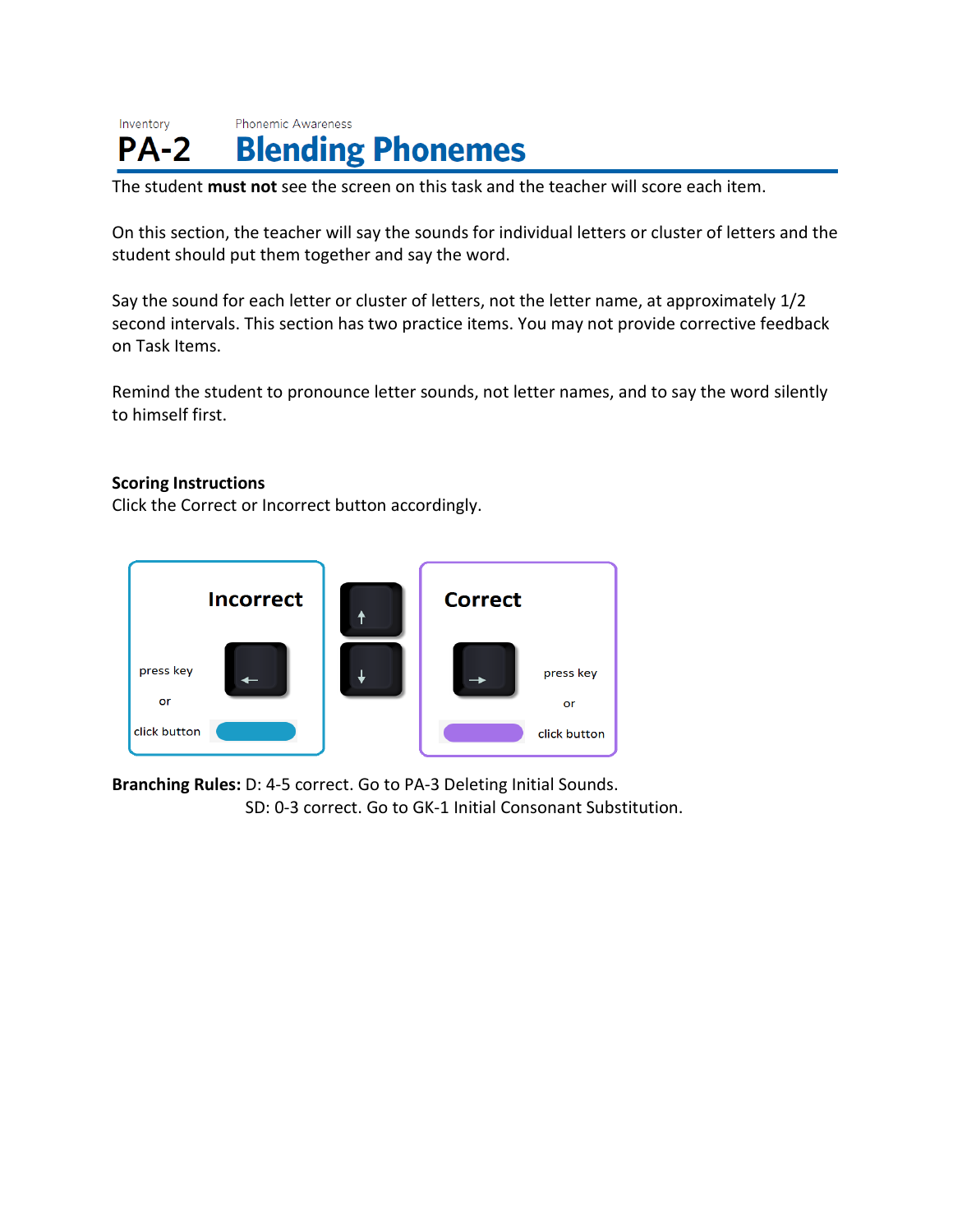#### Inventory Phonemic Awareness **Blending Phonemes**  $PA-2$

The student **must not** see the screen on this task and the teacher will score each item.

On this section, the teacher will say the sounds for individual letters or cluster of letters and the student should put them together and say the word.

Say the sound for each letter or cluster of letters, not the letter name, at approximately 1/2 second intervals. This section has two practice items. You may not provide corrective feedback on Task Items.

Remind the student to pronounce letter sounds, not letter names, and to say the word silently to himself first.

### **Scoring Instructions**

Click the Correct or Incorrect button accordingly.



**Branching Rules:** D: 4-5 correct. Go to PA-3 Deleting Initial Sounds. SD: 0-3 correct. Go to GK-1 Initial Consonant Substitution.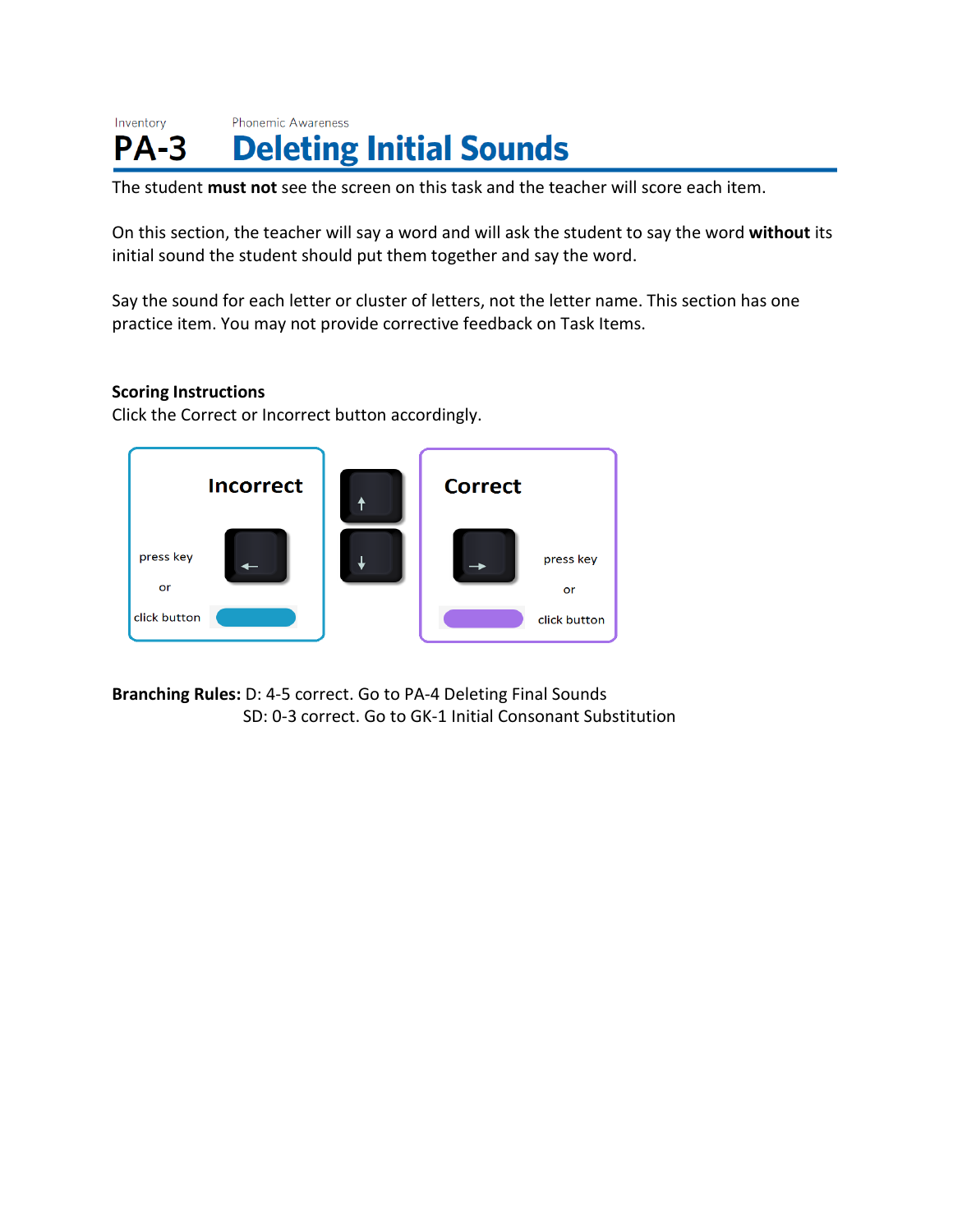#### Inventory Phonemic Awareness **Deleting Initial Sounds**  $PA-3$

The student **must not** see the screen on this task and the teacher will score each item.

On this section, the teacher will say a word and will ask the student to say the word **without** its initial sound the student should put them together and say the word.

Say the sound for each letter or cluster of letters, not the letter name. This section has one practice item. You may not provide corrective feedback on Task Items.

### **Scoring Instructions**

Click the Correct or Incorrect button accordingly.



**Branching Rules:** D: 4-5 correct. Go to PA-4 Deleting Final Sounds SD: 0-3 correct. Go to GK-1 Initial Consonant Substitution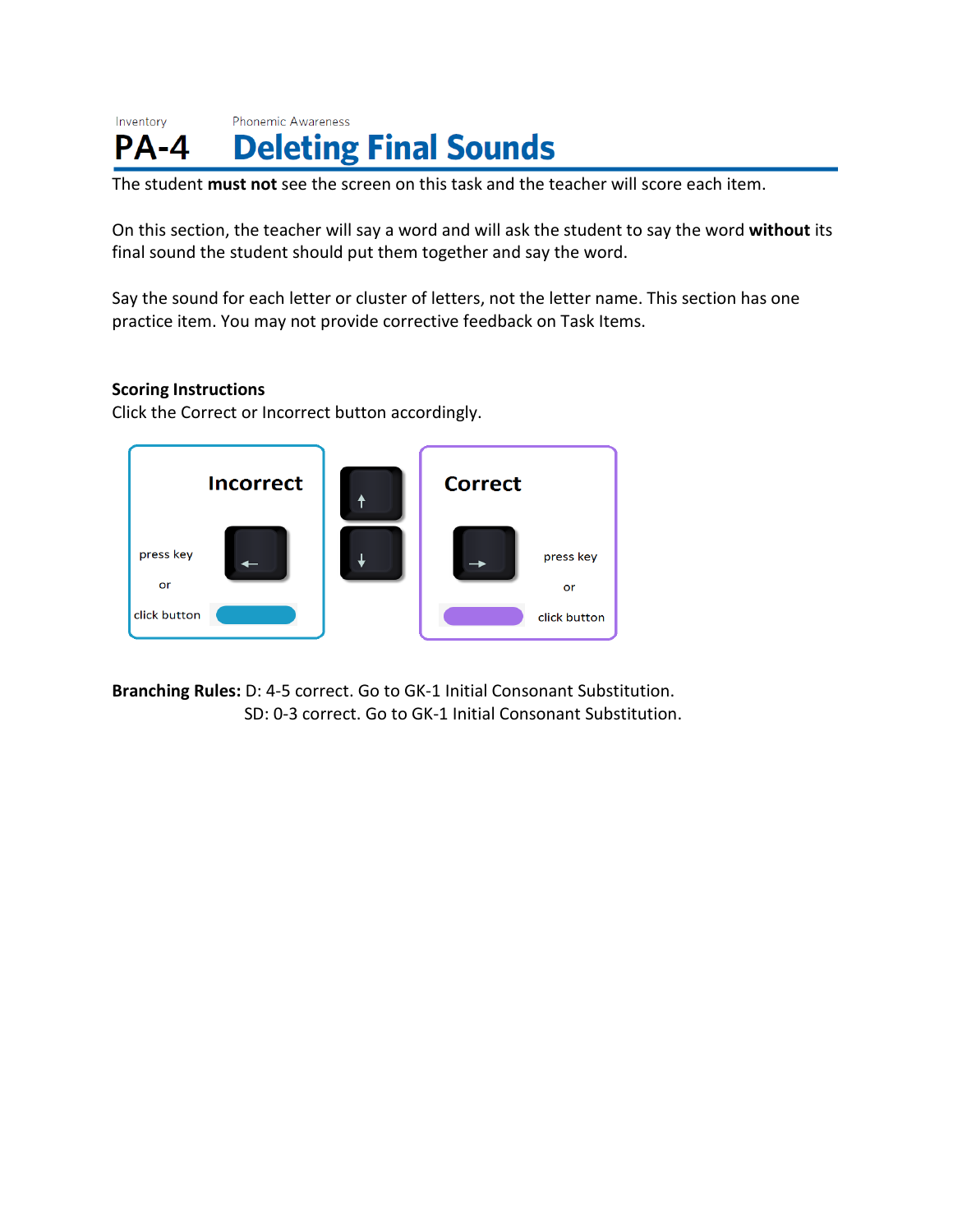#### Inventory Phonemic Awareness **Deleting Final Sounds**  $PA - 4$

The student **must not** see the screen on this task and the teacher will score each item.

On this section, the teacher will say a word and will ask the student to say the word **without** its final sound the student should put them together and say the word.

Say the sound for each letter or cluster of letters, not the letter name. This section has one practice item. You may not provide corrective feedback on Task Items.

# **Scoring Instructions**

Click the Correct or Incorrect button accordingly.



**Branching Rules:** D: 4-5 correct. Go to GK-1 Initial Consonant Substitution. SD: 0-3 correct. Go to GK-1 Initial Consonant Substitution.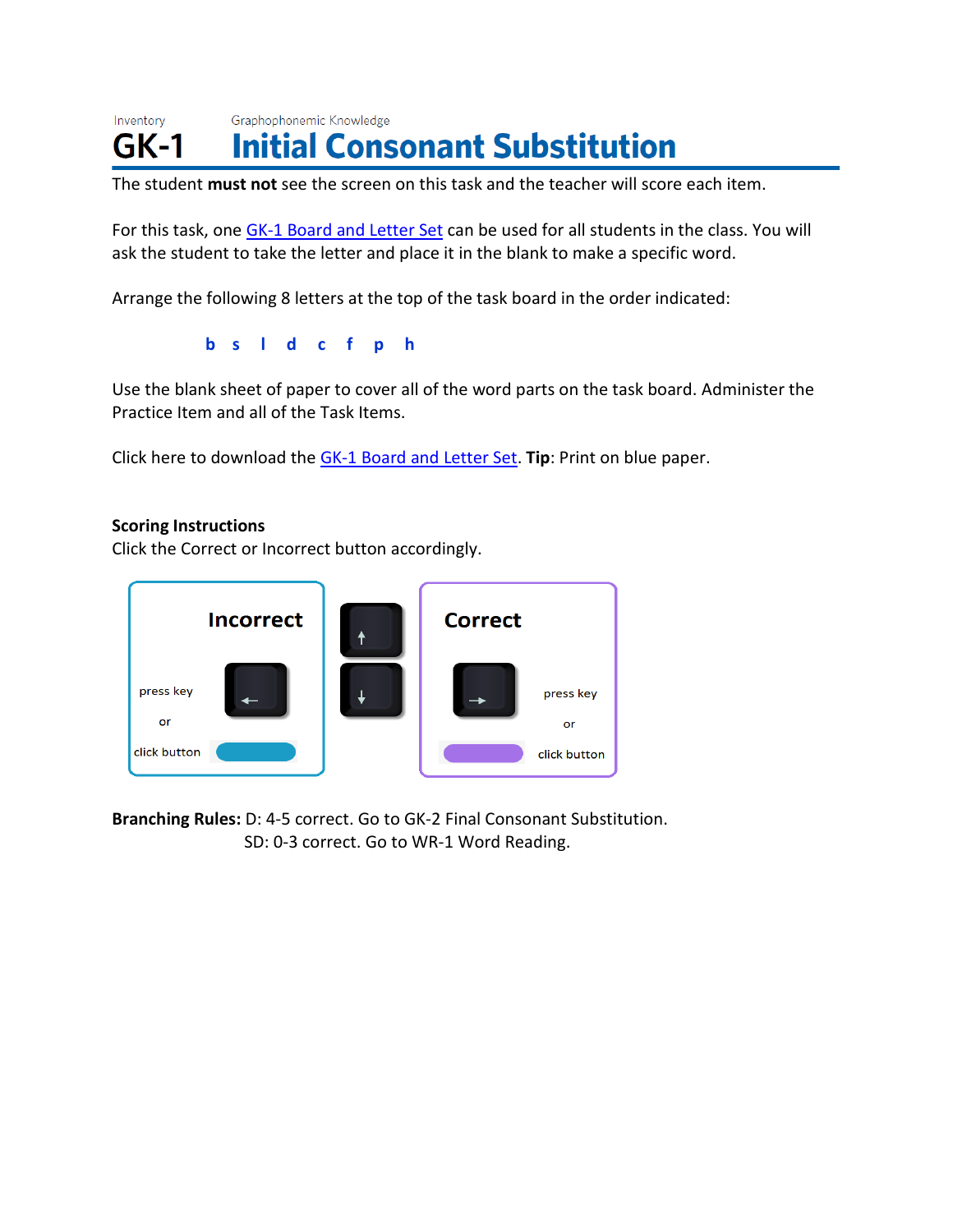Inventory Graphophonemic Knowledge **Initial Consonant Substitution**  $GK-1$ 

The student **must not** see the screen on this task and the teacher will score each item.

For this task, one [GK-1 Board and Letter Set](https://public.cliengage.org/training/support/how-to-guides/tpri-scoring-resources/) can be used for all students in the class. You will ask the student to take the letter and place it in the blank to make a specific word.

Arrange the following 8 letters at the top of the task board in the order indicated:

**b s l d c f p h**

Use the blank sheet of paper to cover all of the word parts on the task board. Administer the Practice Item and all of the Task Items.

Click here to download the [GK-1 Board and Letter Set.](https://public.cliengage.org/training/support/how-to-guides/tpri-scoring-resources/) **Tip**: Print on blue paper.

#### **Scoring Instructions**

Click the Correct or Incorrect button accordingly.



**Branching Rules:** D: 4-5 correct. Go to GK-2 Final Consonant Substitution. SD: 0-3 correct. Go to WR-1 Word Reading.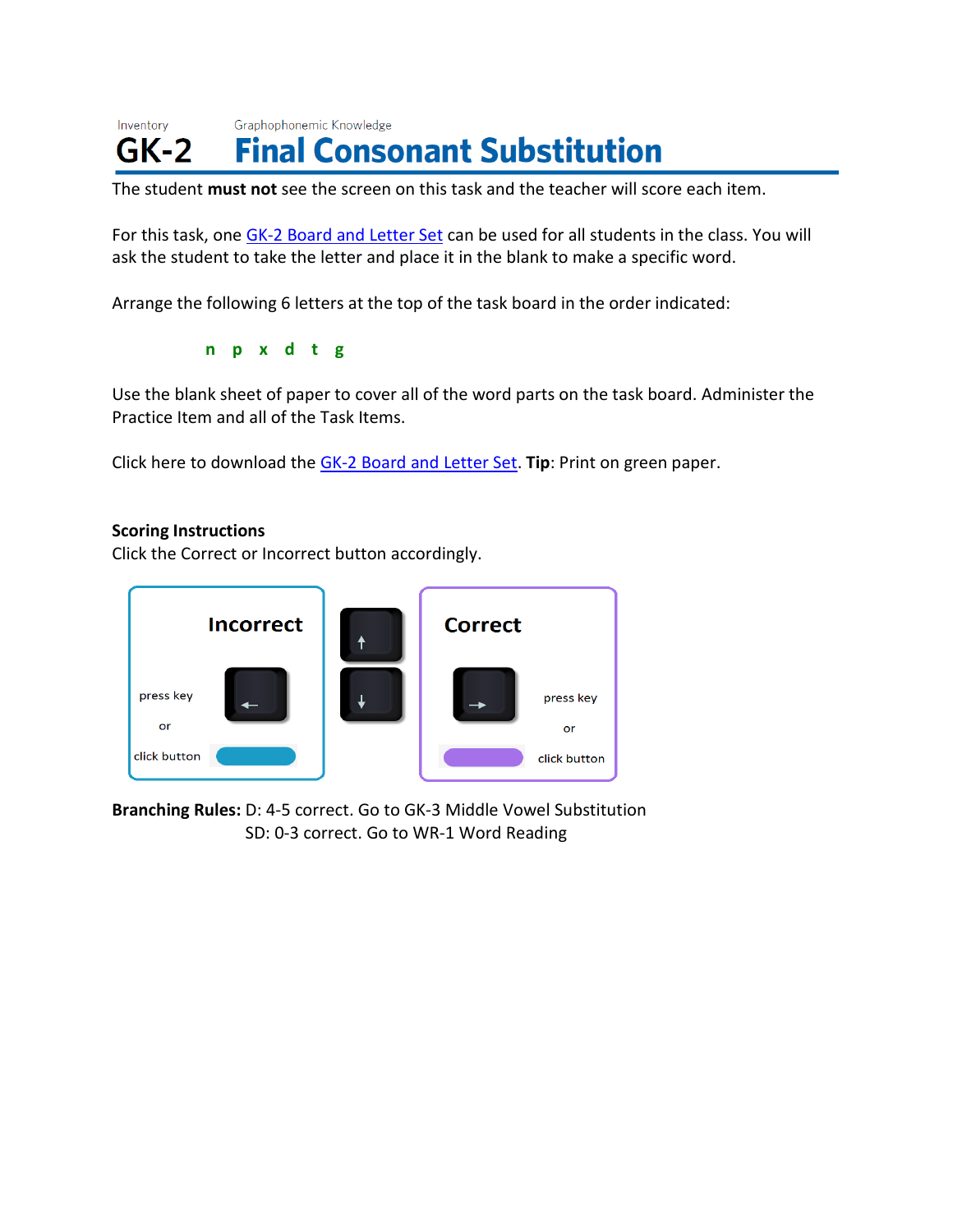#### Inventory Graphophonemic Knowledge **Final Consonant Substitution**  $GK-2$

The student **must not** see the screen on this task and the teacher will score each item.

For this task, one GK-2 [Board and Letter Set](https://public.cliengage.org/training/support/how-to-guides/tpri-scoring-resources/) can be used for all students in the class. You will ask the student to take the letter and place it in the blank to make a specific word.

Arrange the following 6 letters at the top of the task board in the order indicated:

**n p x d t g**

Use the blank sheet of paper to cover all of the word parts on the task board. Administer the Practice Item and all of the Task Items.

Click here to download the GK-2 [Board and Letter Set.](https://public.cliengage.org/training/support/how-to-guides/tpri-scoring-resources/) **Tip**: Print on green paper.

#### **Scoring Instructions**

Click the Correct or Incorrect button accordingly.



**Branching Rules:** D: 4-5 correct. Go to GK-3 Middle Vowel Substitution SD: 0-3 correct. Go to WR-1 Word Reading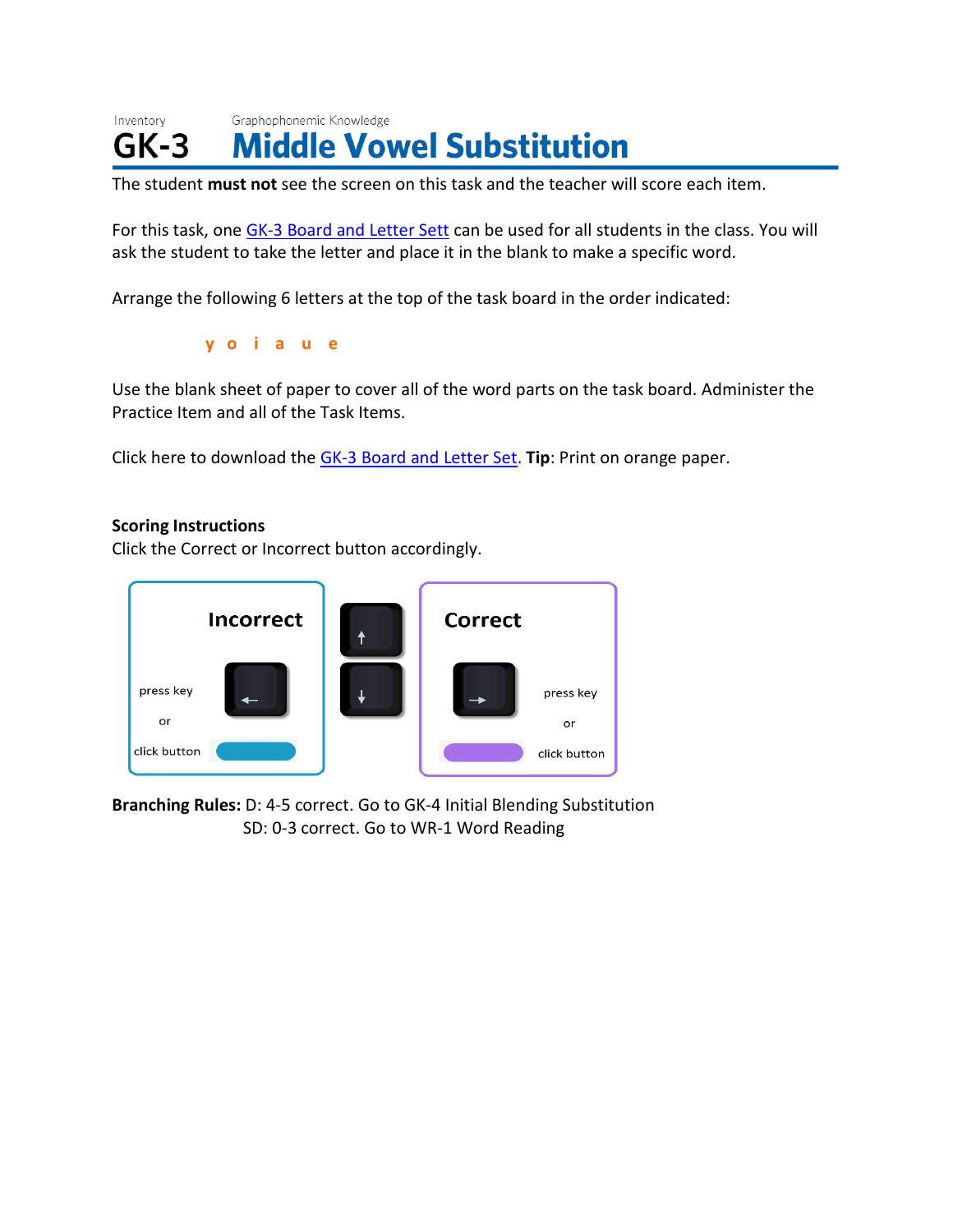Inventory Graphophonemic Knowledge **Middle Vowel Substitution**  $GK-3$ 

The student **must not** see the screen on this task and the teacher will score each item.

For this task, one GK-3 [Board and Letter Sett](https://public.cliengage.org/training/support/how-to-guides/tpri-scoring-resources/) can be used for all students in the class. You will ask the student to take the letter and place it in the blank to make a specific word.

Arrange the following 6 letters at the top of the task board in the order indicated:

**y o i a u e**

Use the blank sheet of paper to cover all of the word parts on the task board. Administer the Practice Item and all of the Task Items.

Click here to download the GK-3 [Board and Letter Set.](https://public.cliengage.org/training/support/how-to-guides/tpri-scoring-resources/) **Tip**: Print on orange paper.

#### **Scoring Instructions**

Click the Correct or Incorrect button accordingly.



**Branching Rules:** D: 4-5 correct. Go to GK-4 Initial Blending Substitution SD: 0-3 correct. Go to WR-1 Word Reading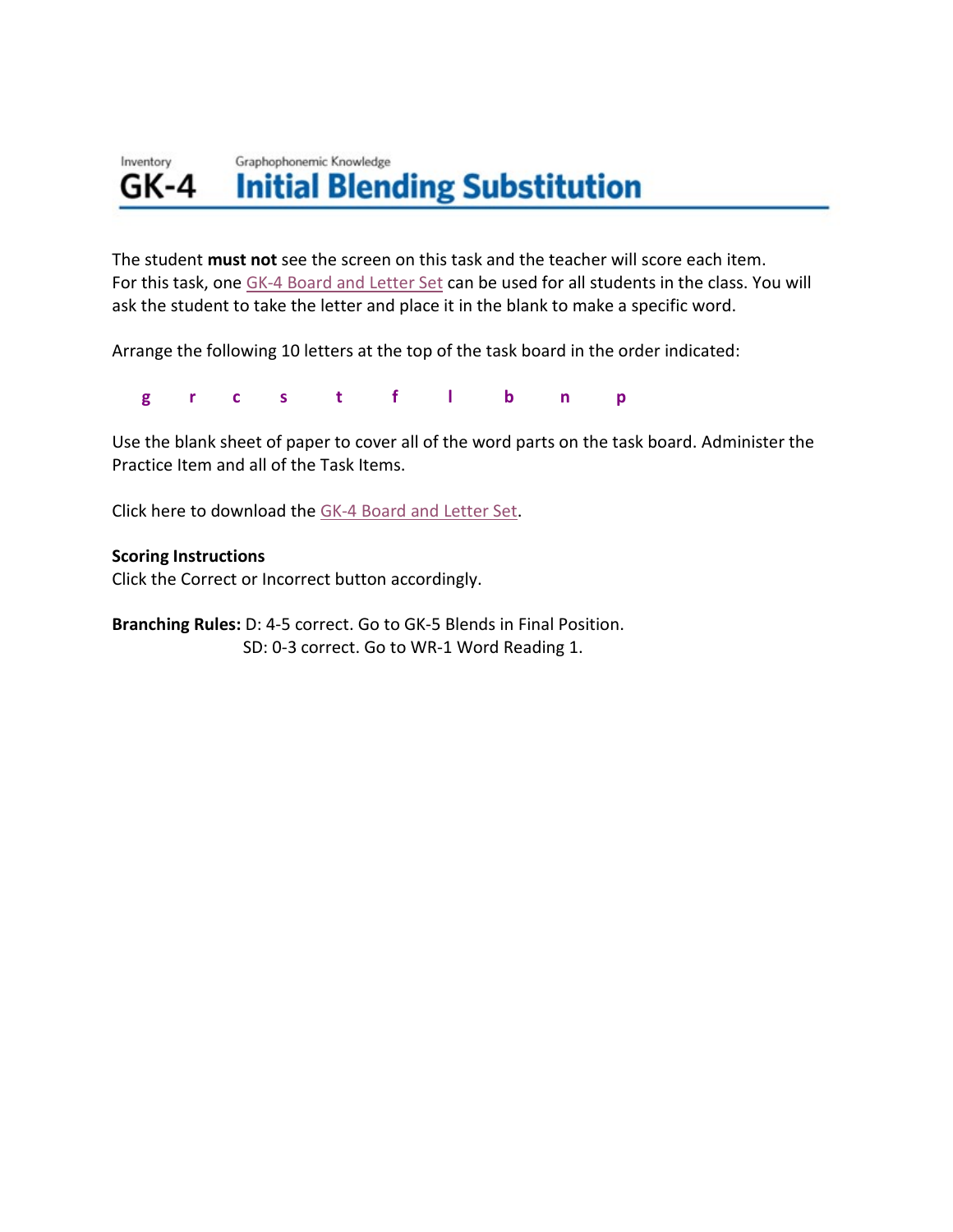#### Graphophonemic Knowledge Inventory **Initial Blending Substitution** GK-4

The student **must not** see the screen on this task and the teacher will score each item. For this task, one GK-4 [Board and Letter Set](https://public.cliengage.org/training/support/how-to-guides/tpri-scoring-resources/) can be used for all students in the class. You will ask the student to take the letter and place it in the blank to make a specific word.

Arrange the following 10 letters at the top of the task board in the order indicated:

 **g r c s t f l b n p**

Use the blank sheet of paper to cover all of the word parts on the task board. Administer the Practice Item and all of the Task Items.

Click here to download the GK-4 [Board and Letter Set.](https://public.cliengage.org/training/support/how-to-guides/tpri-scoring-resources/)

#### **Scoring Instructions**

Click the Correct or Incorrect button accordingly.

**Branching Rules:** D: 4-5 correct. Go to GK-5 Blends in Final Position. SD: 0-3 correct. Go to WR-1 Word Reading 1.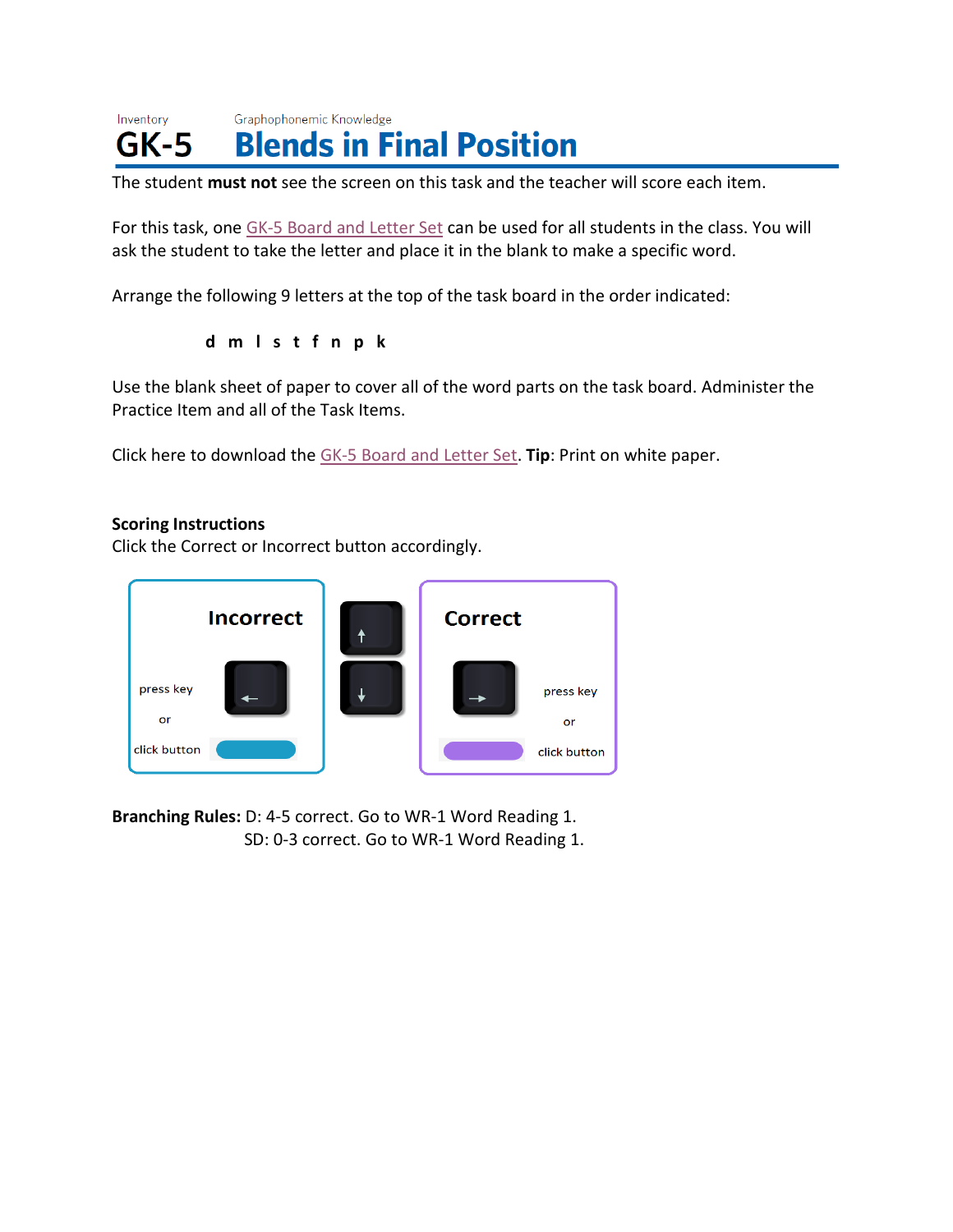#### Inventory Graphophonemic Knowledge **Blends in Final Position**  $GK-5$

The student **must not** see the screen on this task and the teacher will score each item.

For this task, one GK-5 [Board and Letter Set](https://public.cliengage.org/training/support/how-to-guides/tpri-scoring-resources/) can be used for all students in the class. You will ask the student to take the letter and place it in the blank to make a specific word.

Arrange the following 9 letters at the top of the task board in the order indicated:

**d m l s t f n p k**

Use the blank sheet of paper to cover all of the word parts on the task board. Administer the Practice Item and all of the Task Items.

Click here to download the GK-5 [Board and Letter Set.](https://public.cliengage.org/training/support/how-to-guides/tpri-scoring-resources/) **Tip**: Print on white paper.

### **Scoring Instructions**

Click the Correct or Incorrect button accordingly.



**Branching Rules:** D: 4-5 correct. Go to WR-1 Word Reading 1. SD: 0-3 correct. Go to WR-1 Word Reading 1.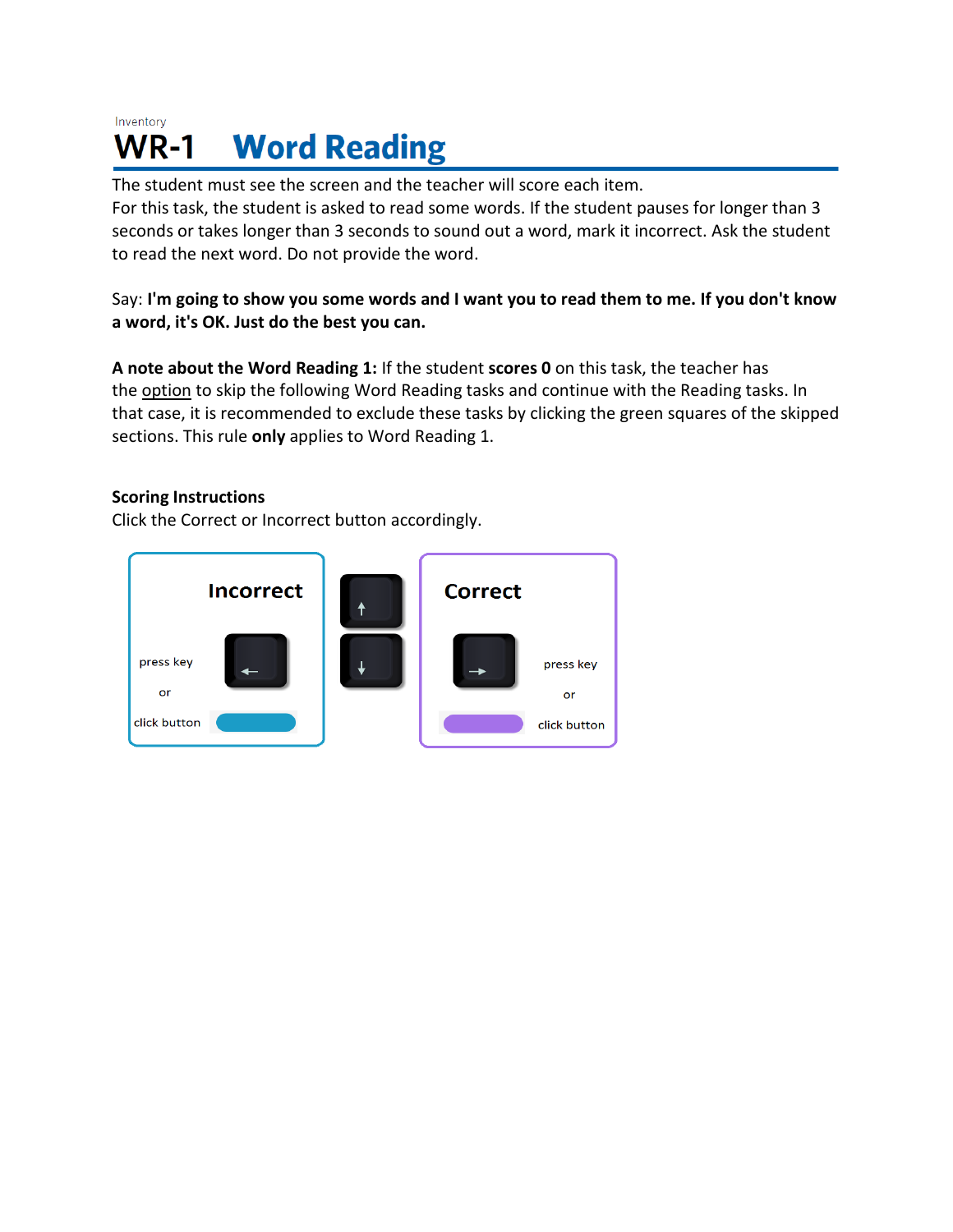#### Inventory **Word Reading WR-1**

The student must see the screen and the teacher will score each item.

For this task, the student is asked to read some words. If the student pauses for longer than 3 seconds or takes longer than 3 seconds to sound out a word, mark it incorrect. Ask the student to read the next word. Do not provide the word.

Say: I'm going to show you some words and I want you to read them to me. If you don't know **a word, it's OK. Just do the best you can.**

**A note about the Word Reading 1:** If the student **scores 0** on this task, the teacher has the option to skip the following Word Reading tasks and continue with the Reading tasks. In that case, it is recommended to exclude these tasks by clicking the green squares of the skipped sections. This rule **only** applies to Word Reading 1.

# **Scoring Instructions**

Click the Correct or Incorrect button accordingly.

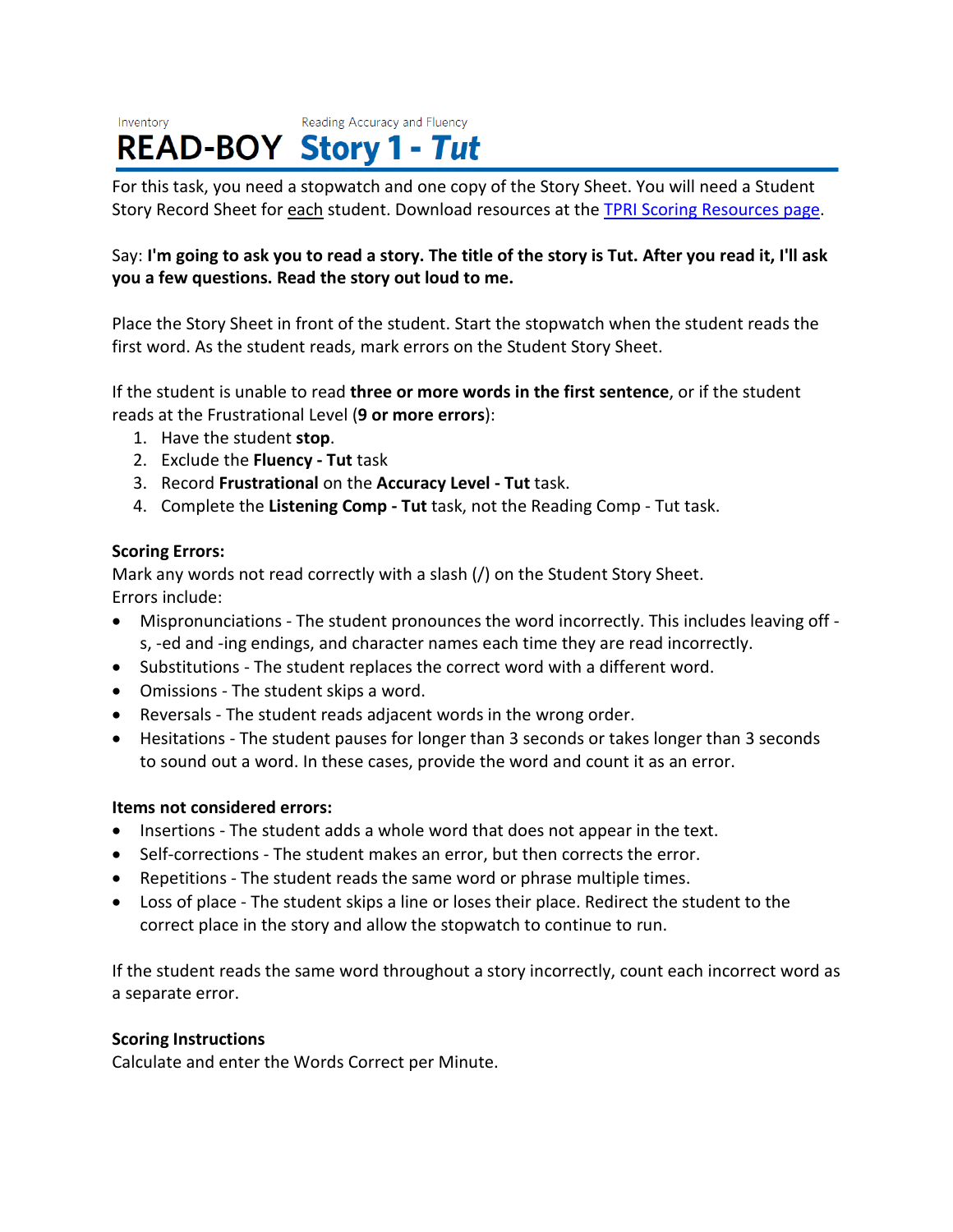#### Reading Accuracy and Fluency Inventory **READ-BOY Story 1 - Tut**

For this task, you need a stopwatch and one copy of the Story Sheet. You will need a Student Story Record Sheet for each student. Download resources at the [TPRI Scoring Resources page.](https://public.cliengage.org/training/support/how-to-guides/tpri-scoring-resources/)

# Say: I'm going to ask you to read a story. The title of the story is Tut. After you read it, I'll ask **you a few questions. Read the story out loud to me.**

Place the Story Sheet in front of the student. Start the stopwatch when the student reads the first word. As the student reads, mark errors on the Student Story Sheet.

If the student is unable to read **three or more words in the first sentence**, or if the student reads at the Frustrational Level (**9 or more errors**):

- 1. Have the student **stop**.
- 2. Exclude the **Fluency - Tut** task
- 3. Record **Frustrational** on the **Accuracy Level - Tut** task.
- 4. Complete the **Listening Comp - Tut** task, not the Reading Comp Tut task.

# **Scoring Errors:**

Mark any words not read correctly with a slash (/) on the Student Story Sheet. Errors include:

- Mispronunciations The student pronounces the word incorrectly. This includes leaving off s, -ed and -ing endings, and character names each time they are read incorrectly.
- Substitutions The student replaces the correct word with a different word.
- Omissions The student skips a word.
- Reversals The student reads adjacent words in the wrong order.
- Hesitations The student pauses for longer than 3 seconds or takes longer than 3 seconds to sound out a word. In these cases, provide the word and count it as an error.

# **Items not considered errors:**

- Insertions The student adds a whole word that does not appear in the text.
- Self-corrections The student makes an error, but then corrects the error.
- Repetitions The student reads the same word or phrase multiple times.
- Loss of place The student skips a line or loses their place. Redirect the student to the correct place in the story and allow the stopwatch to continue to run.

If the student reads the same word throughout a story incorrectly, count each incorrect word as a separate error.

# **Scoring Instructions**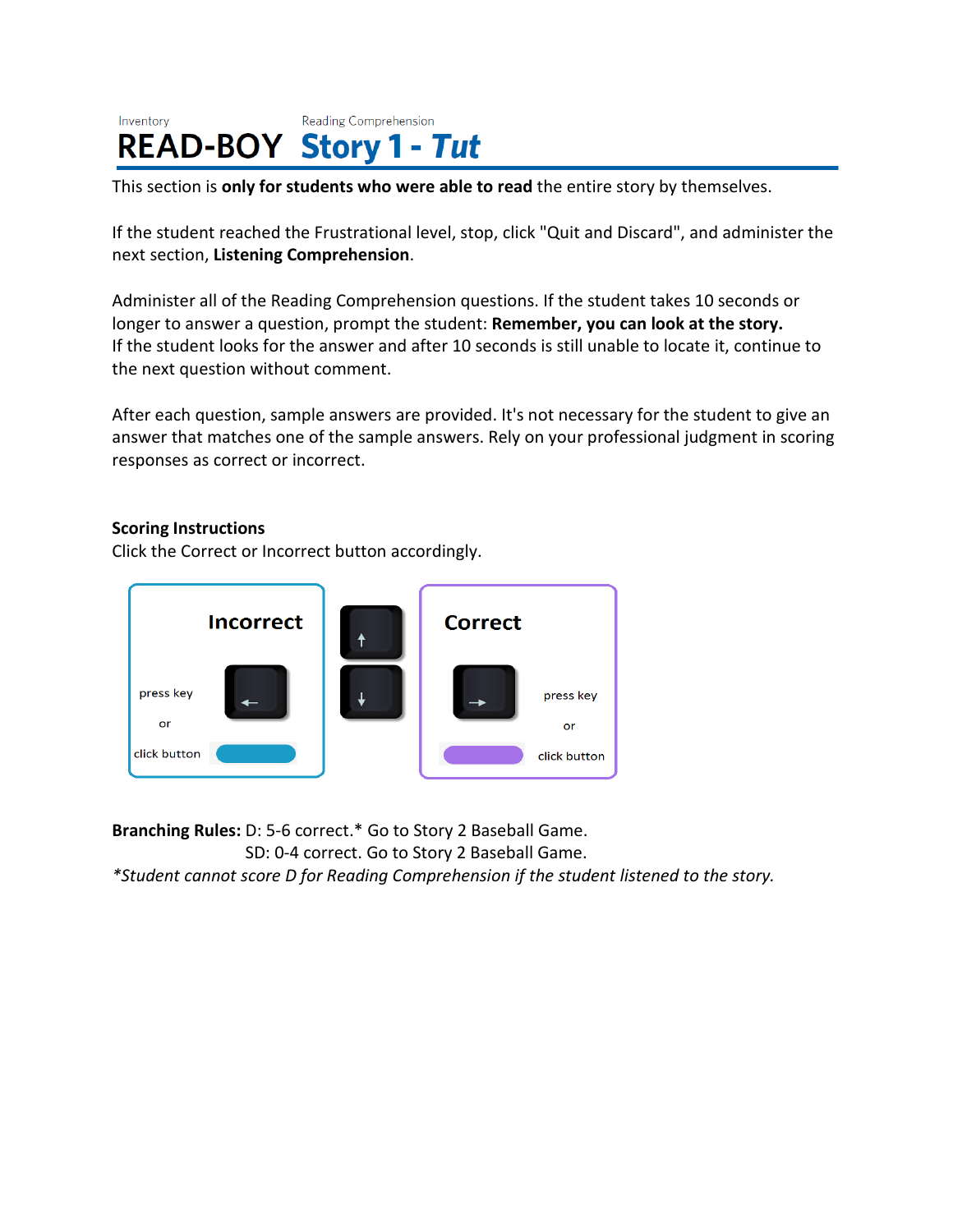#### Inventory Reading Comprehension **READ-BOY Story 1 - Tut**

This section is **only for students who were able to read** the entire story by themselves.

If the student reached the Frustrational level, stop, click "Quit and Discard", and administer the next section, **Listening Comprehension**.

Administer all of the Reading Comprehension questions. If the student takes 10 seconds or longer to answer a question, prompt the student: **Remember, you can look at the story.** If the student looks for the answer and after 10 seconds is still unable to locate it, continue to the next question without comment.

After each question, sample answers are provided. It's not necessary for the student to give an answer that matches one of the sample answers. Rely on your professional judgment in scoring responses as correct or incorrect.

#### **Scoring Instructions**

Click the Correct or Incorrect button accordingly.



**Branching Rules:** D: 5-6 correct.\* Go to Story 2 Baseball Game. SD: 0-4 correct. Go to Story 2 Baseball Game.

*\*Student cannot score D for Reading Comprehension if the student listened to the story.*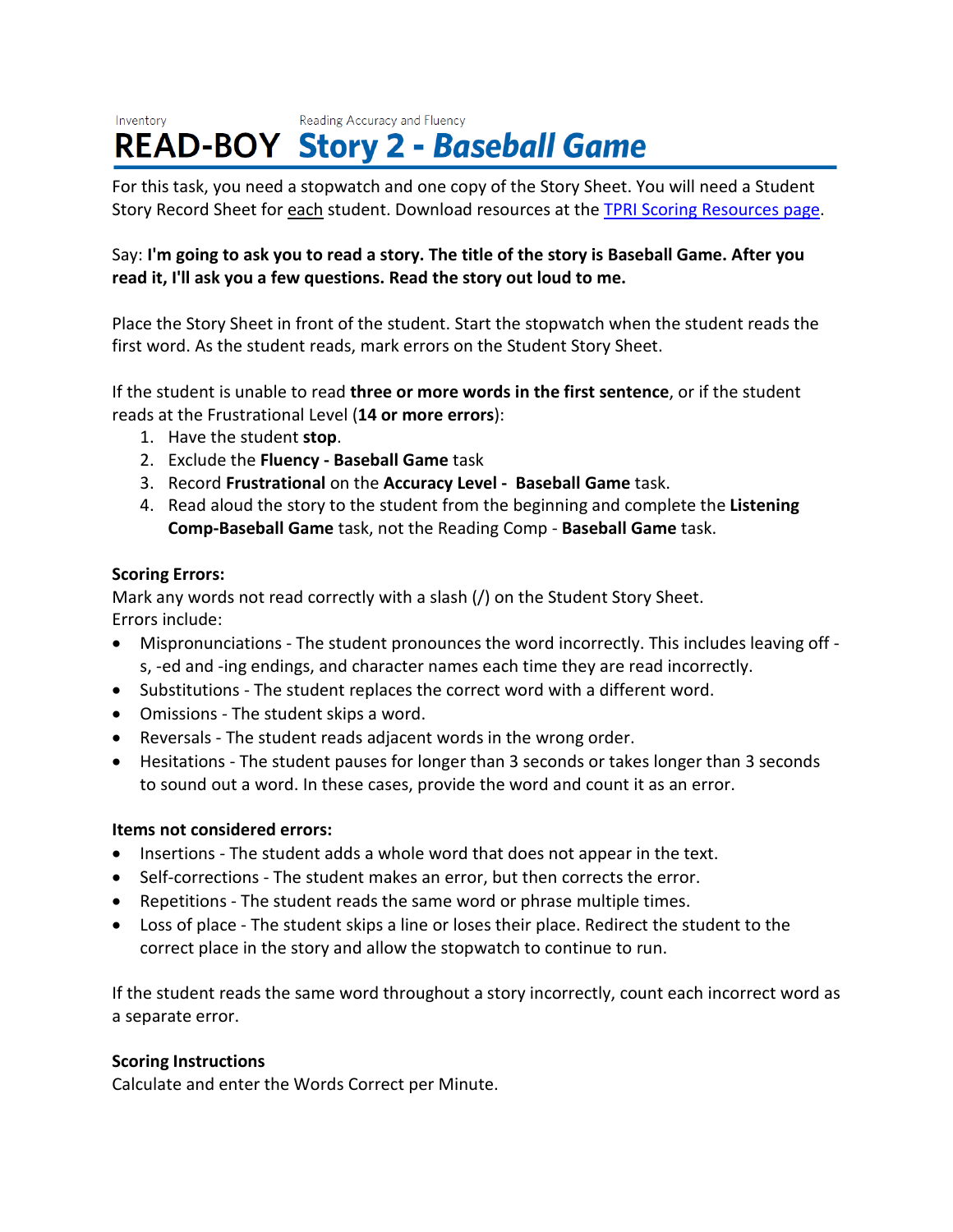#### Reading Accuracy and Fluency Inventory **READ-BOY Story 2 - Baseball Game**

For this task, you need a stopwatch and one copy of the Story Sheet. You will need a Student Story Record Sheet for each student. Download resources at the [TPRI Scoring Resources page.](https://public.cliengage.org/training/support/how-to-guides/tpri-scoring-resources/)

# Say: I'm going to ask you to read a story. The title of the story is Baseball Game. After you **read it, I'll ask you a few questions. Read the story out loud to me.**

Place the Story Sheet in front of the student. Start the stopwatch when the student reads the first word. As the student reads, mark errors on the Student Story Sheet.

If the student is unable to read **three or more words in the first sentence**, or if the student reads at the Frustrational Level (**14 or more errors**):

- 1. Have the student **stop**.
- 2. Exclude the **Fluency - Baseball Game** task
- 3. Record **Frustrational** on the **Accuracy Level Baseball Game** task.
- 4. Read aloud the story to the student from the beginning and complete the **Listening Comp-Baseball Game** task, not the Reading Comp - **Baseball Game** task.

# **Scoring Errors:**

Mark any words not read correctly with a slash (/) on the Student Story Sheet. Errors include:

- Mispronunciations The student pronounces the word incorrectly. This includes leaving off s, -ed and -ing endings, and character names each time they are read incorrectly.
- Substitutions The student replaces the correct word with a different word.
- Omissions The student skips a word.
- Reversals The student reads adjacent words in the wrong order.
- Hesitations The student pauses for longer than 3 seconds or takes longer than 3 seconds to sound out a word. In these cases, provide the word and count it as an error.

# **Items not considered errors:**

- Insertions The student adds a whole word that does not appear in the text.
- Self-corrections The student makes an error, but then corrects the error.
- Repetitions The student reads the same word or phrase multiple times.
- Loss of place The student skips a line or loses their place. Redirect the student to the correct place in the story and allow the stopwatch to continue to run.

If the student reads the same word throughout a story incorrectly, count each incorrect word as a separate error.

# **Scoring Instructions**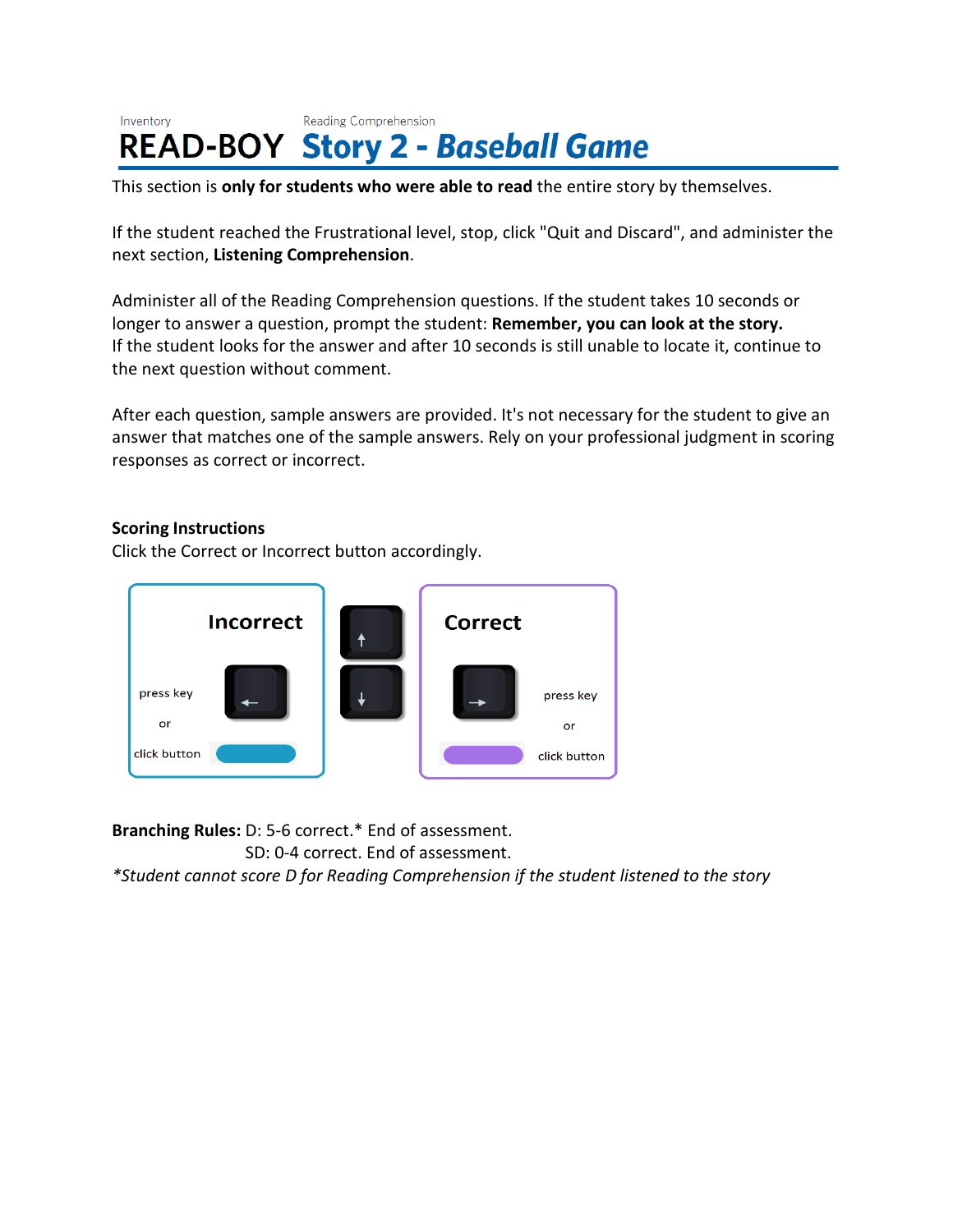#### Inventory Reading Comprehension **READ-BOY Story 2 - Baseball Game**

This section is **only for students who were able to read** the entire story by themselves.

If the student reached the Frustrational level, stop, click "Quit and Discard", and administer the next section, **Listening Comprehension**.

Administer all of the Reading Comprehension questions. If the student takes 10 seconds or longer to answer a question, prompt the student: **Remember, you can look at the story.** If the student looks for the answer and after 10 seconds is still unable to locate it, continue to the next question without comment.

After each question, sample answers are provided. It's not necessary for the student to give an answer that matches one of the sample answers. Rely on your professional judgment in scoring responses as correct or incorrect.

#### **Scoring Instructions**

Click the Correct or Incorrect button accordingly.



**Branching Rules:** D: 5-6 correct.\* End of assessment.

SD: 0-4 correct. End of assessment.

*\*Student cannot score D for Reading Comprehension if the student listened to the story*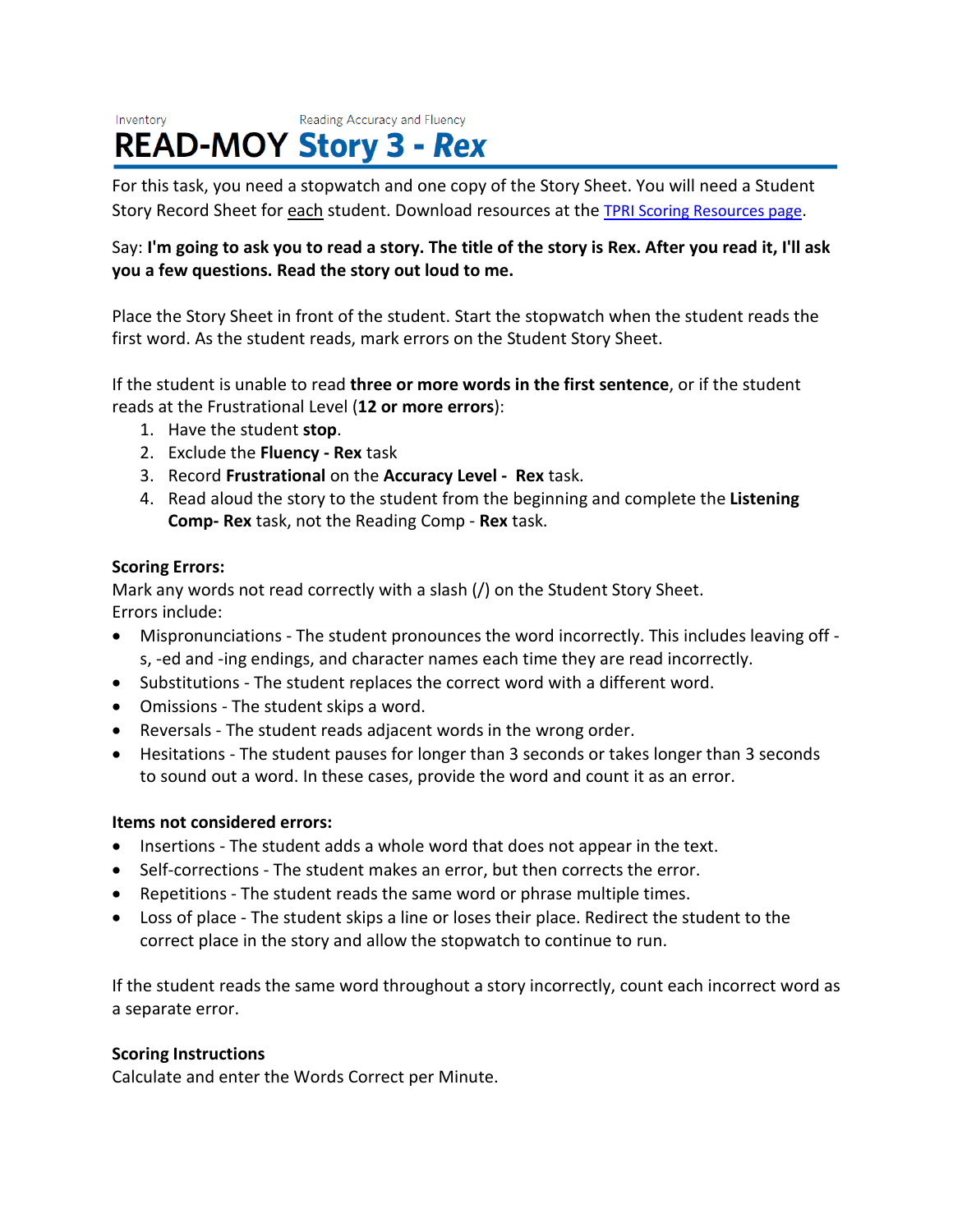#### Inventory Reading Accuracy and Fluency **READ-MOY Story 3 - Rex**

For this task, you need a stopwatch and one copy of the Story Sheet. You will need a Student Story Record Sheet for each student. Download resources at the [TPRI Scoring Resources page.](https://public.cliengage.org/training/support/how-to-guides/tpri-scoring-resources/)

# Say: I'm going to ask you to read a story. The title of the story is Rex. After you read it, I'll ask **you a few questions. Read the story out loud to me.**

Place the Story Sheet in front of the student. Start the stopwatch when the student reads the first word. As the student reads, mark errors on the Student Story Sheet.

If the student is unable to read **three or more words in the first sentence**, or if the student reads at the Frustrational Level (**12 or more errors**):

- 1. Have the student **stop**.
- 2. Exclude the **Fluency - Rex** task
- 3. Record **Frustrational** on the **Accuracy Level Rex** task.
- 4. Read aloud the story to the student from the beginning and complete the **Listening Comp- Rex** task, not the Reading Comp - **Rex** task.

# **Scoring Errors:**

Mark any words not read correctly with a slash (/) on the Student Story Sheet. Errors include:

- Mispronunciations The student pronounces the word incorrectly. This includes leaving off s, -ed and -ing endings, and character names each time they are read incorrectly.
- Substitutions The student replaces the correct word with a different word.
- Omissions The student skips a word.
- Reversals The student reads adjacent words in the wrong order.
- Hesitations The student pauses for longer than 3 seconds or takes longer than 3 seconds to sound out a word. In these cases, provide the word and count it as an error.

# **Items not considered errors:**

- Insertions The student adds a whole word that does not appear in the text.
- Self-corrections The student makes an error, but then corrects the error.
- Repetitions The student reads the same word or phrase multiple times.
- Loss of place The student skips a line or loses their place. Redirect the student to the correct place in the story and allow the stopwatch to continue to run.

If the student reads the same word throughout a story incorrectly, count each incorrect word as a separate error.

# **Scoring Instructions**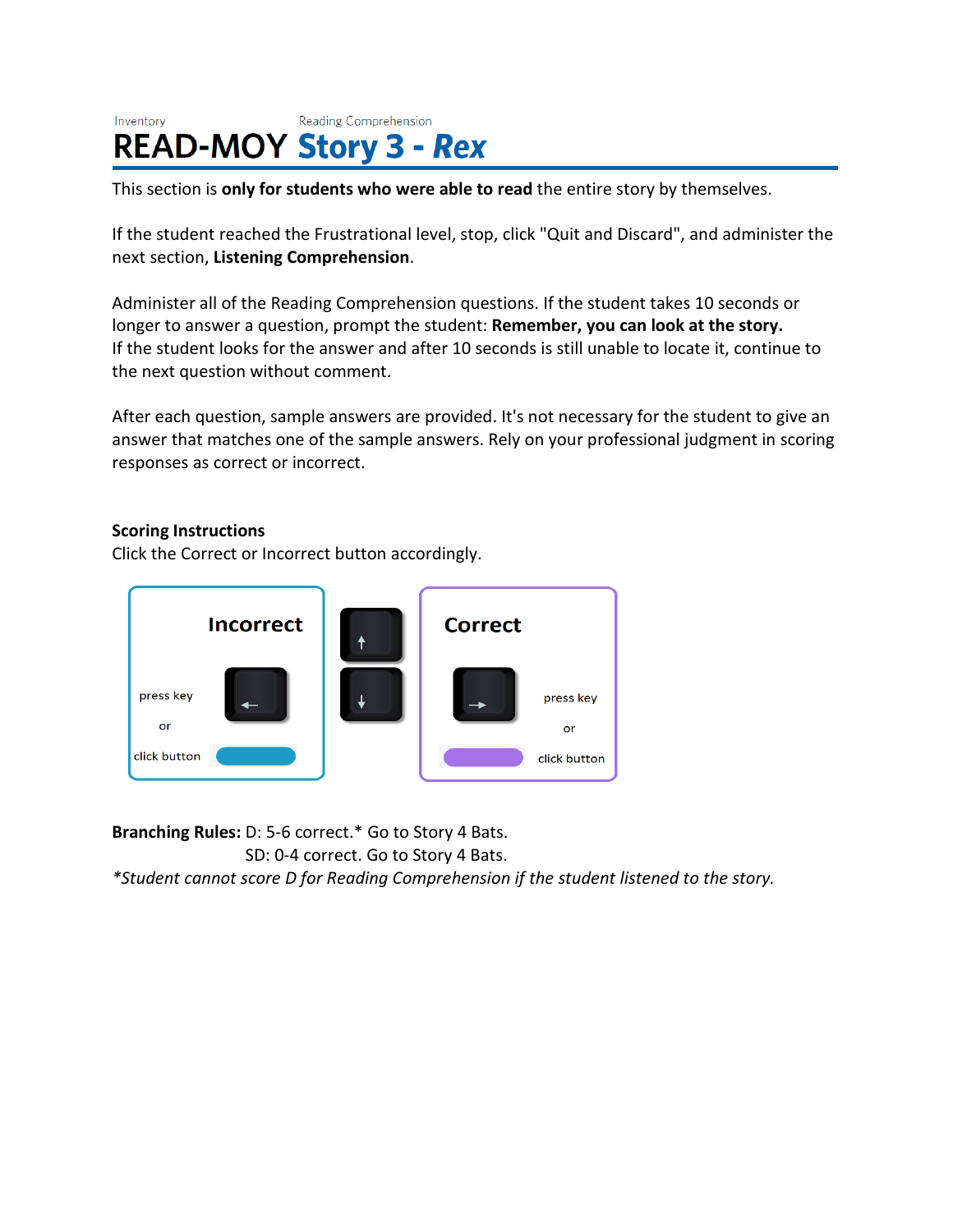#### Inventory **Reading Comprehension READ-MOY Story 3 - Rex**

This section is **only for students who were able to read** the entire story by themselves.

If the student reached the Frustrational level, stop, click "Quit and Discard", and administer the next section, **Listening Comprehension**.

Administer all of the Reading Comprehension questions. If the student takes 10 seconds or longer to answer a question, prompt the student: **Remember, you can look at the story.** If the student looks for the answer and after 10 seconds is still unable to locate it, continue to the next question without comment.

After each question, sample answers are provided. It's not necessary for the student to give an answer that matches one of the sample answers. Rely on your professional judgment in scoring responses as correct or incorrect.

### **Scoring Instructions**

Click the Correct or Incorrect button accordingly.



**Branching Rules:** D: 5-6 correct.\* Go to Story 4 Bats.

SD: 0-4 correct. Go to Story 4 Bats.

*\*Student cannot score D for Reading Comprehension if the student listened to the story.*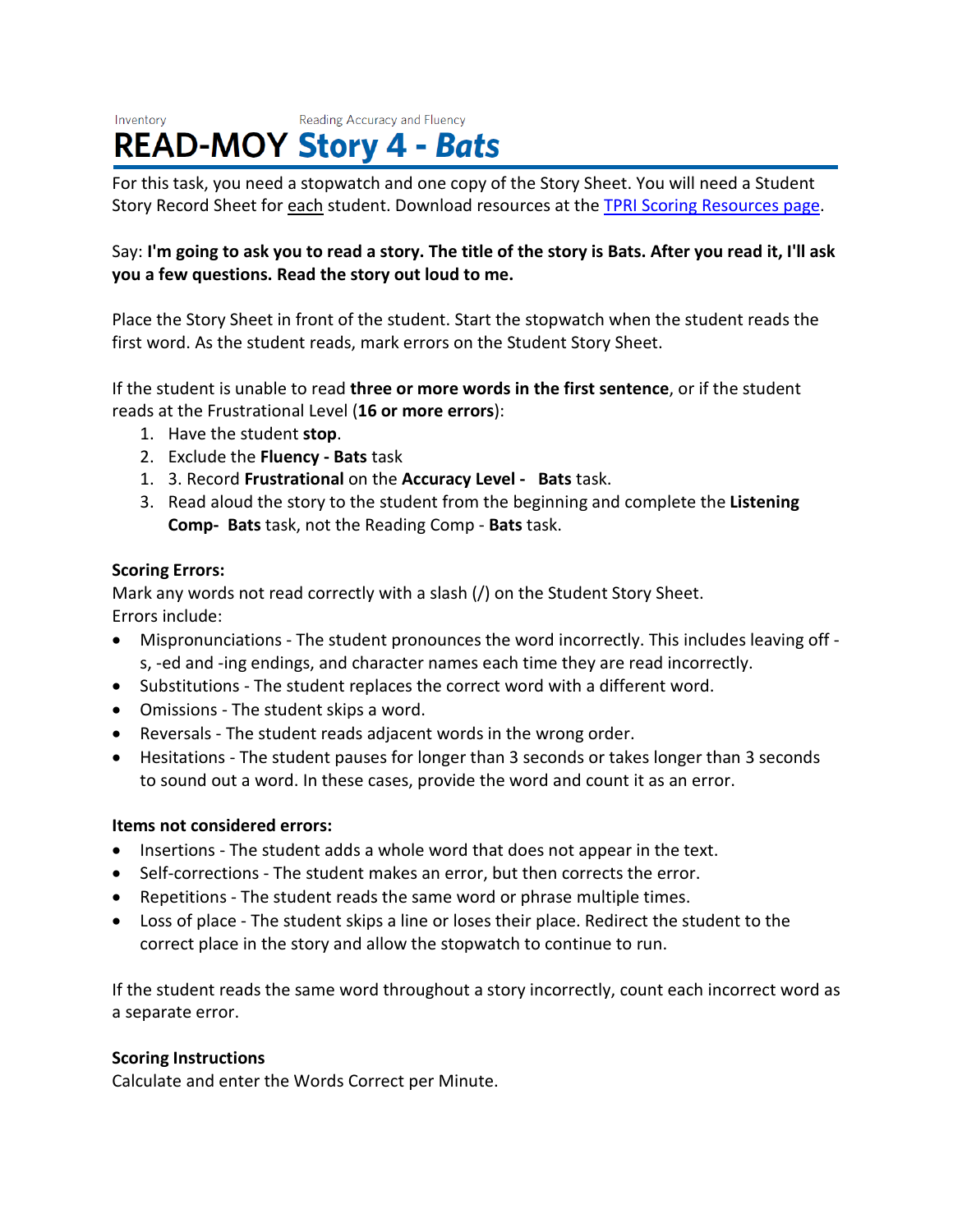#### Inventory Reading Accuracy and Fluency **READ-MOY Story 4 - Bats**

For this task, you need a stopwatch and one copy of the Story Sheet. You will need a Student Story Record Sheet for each student. Download resources at the [TPRI Scoring Resources page.](https://public.cliengage.org/training/support/how-to-guides/tpri-scoring-resources/)

# Say: I'm going to ask you to read a story. The title of the story is Bats. After you read it, I'll ask **you a few questions. Read the story out loud to me.**

Place the Story Sheet in front of the student. Start the stopwatch when the student reads the first word. As the student reads, mark errors on the Student Story Sheet.

If the student is unable to read **three or more words in the first sentence**, or if the student reads at the Frustrational Level (**16 or more errors**):

- 1. Have the student **stop**.
- 2. Exclude the **Fluency - Bats** task
- 1. 3. Record **Frustrational** on the **Accuracy Level Bats** task.
- 3. Read aloud the story to the student from the beginning and complete the **Listening Comp- Bats** task, not the Reading Comp - **Bats** task.

# **Scoring Errors:**

Mark any words not read correctly with a slash (/) on the Student Story Sheet. Errors include:

- Mispronunciations The student pronounces the word incorrectly. This includes leaving off s, -ed and -ing endings, and character names each time they are read incorrectly.
- Substitutions The student replaces the correct word with a different word.
- Omissions The student skips a word.
- Reversals The student reads adjacent words in the wrong order.
- Hesitations The student pauses for longer than 3 seconds or takes longer than 3 seconds to sound out a word. In these cases, provide the word and count it as an error.

# **Items not considered errors:**

- Insertions The student adds a whole word that does not appear in the text.
- Self-corrections The student makes an error, but then corrects the error.
- Repetitions The student reads the same word or phrase multiple times.
- Loss of place The student skips a line or loses their place. Redirect the student to the correct place in the story and allow the stopwatch to continue to run.

If the student reads the same word throughout a story incorrectly, count each incorrect word as a separate error.

# **Scoring Instructions**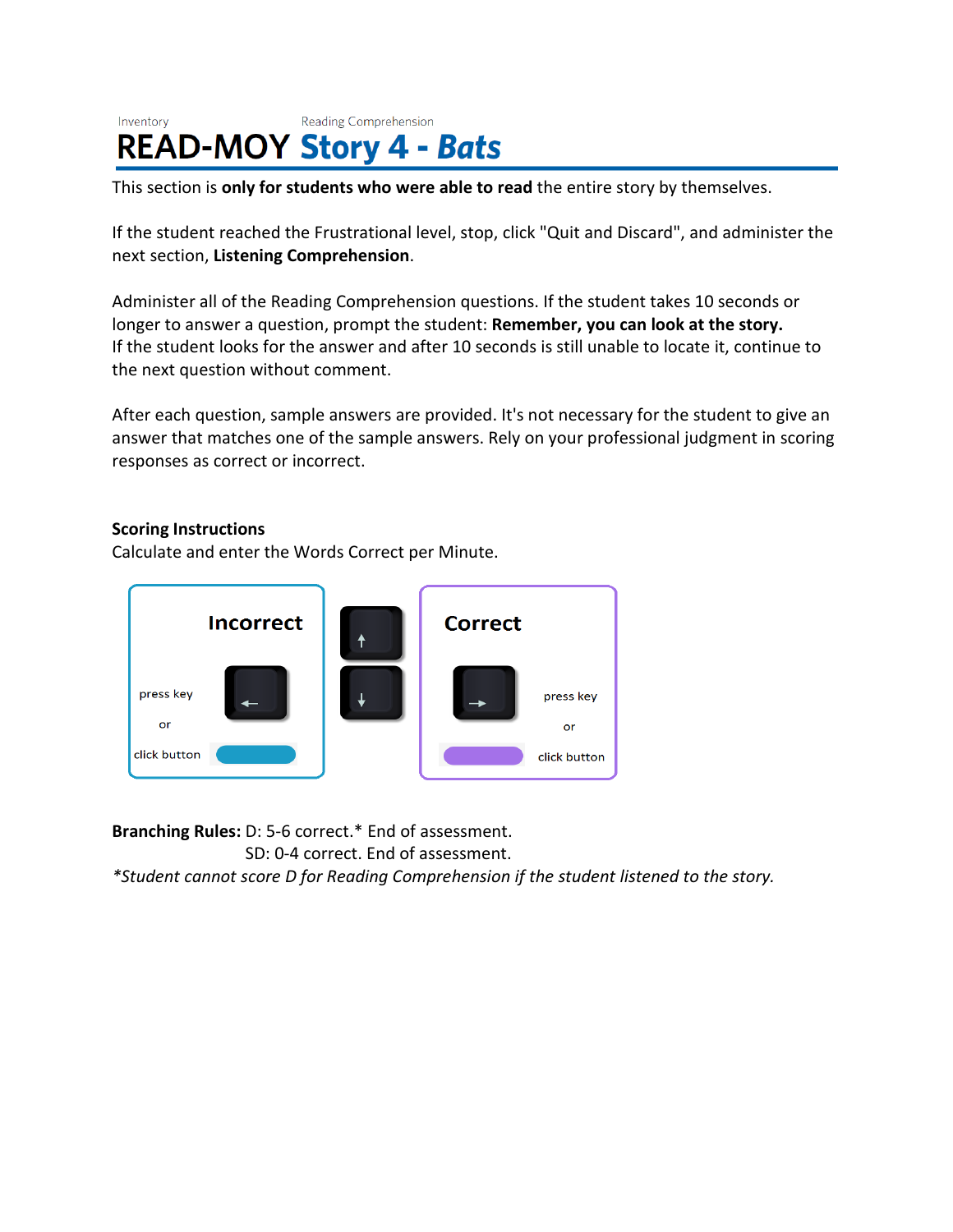#### Inventory Reading Comprehension **READ-MOY Story 4 - Bats**

This section is **only for students who were able to read** the entire story by themselves.

If the student reached the Frustrational level, stop, click "Quit and Discard", and administer the next section, **Listening Comprehension**.

Administer all of the Reading Comprehension questions. If the student takes 10 seconds or longer to answer a question, prompt the student: **Remember, you can look at the story.** If the student looks for the answer and after 10 seconds is still unable to locate it, continue to the next question without comment.

After each question, sample answers are provided. It's not necessary for the student to give an answer that matches one of the sample answers. Rely on your professional judgment in scoring responses as correct or incorrect.

### **Scoring Instructions**

Calculate and enter the Words Correct per Minute.



**Branching Rules:** D: 5-6 correct.\* End of assessment.

SD: 0-4 correct. End of assessment.

*\*Student cannot score D for Reading Comprehension if the student listened to the story.*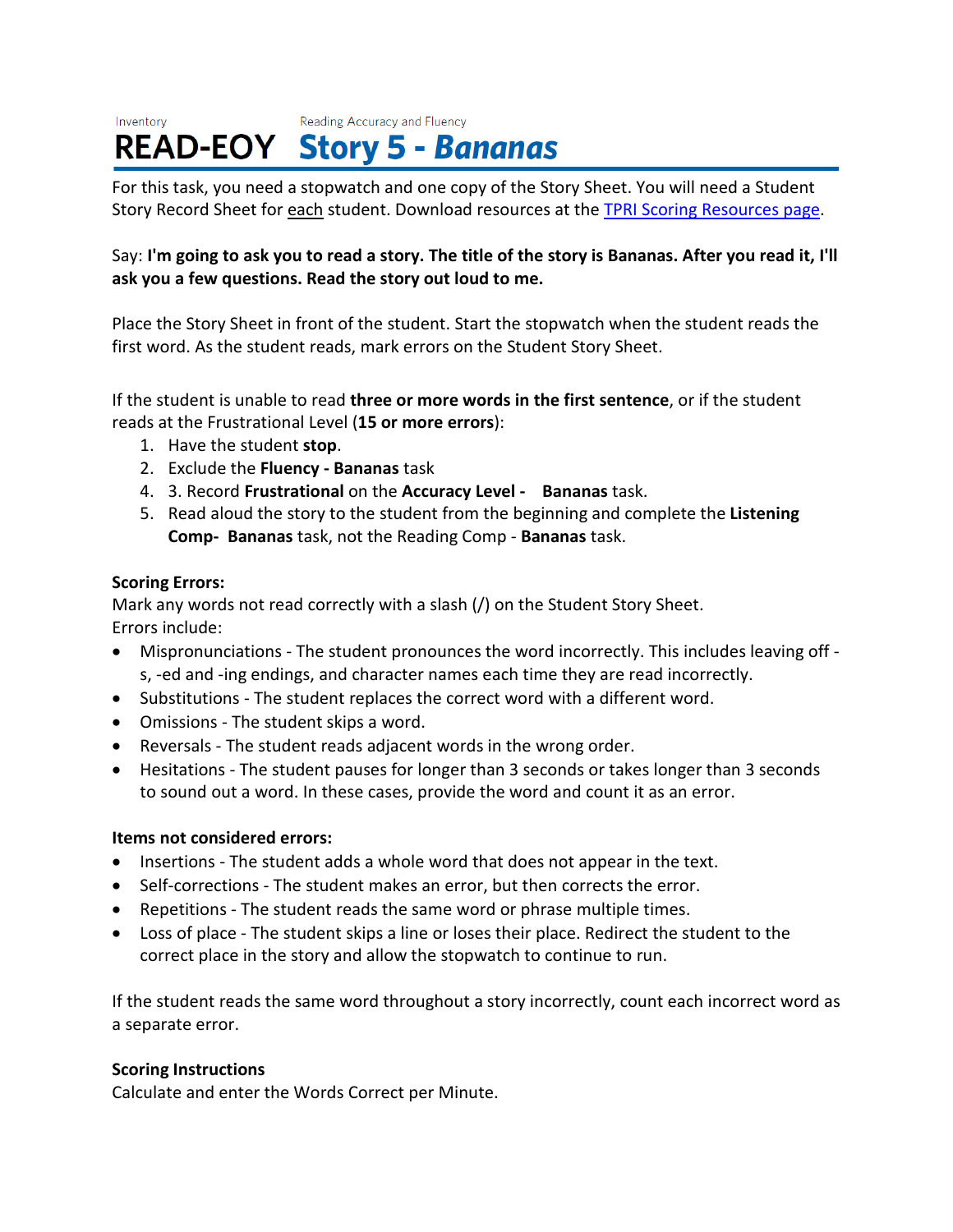#### Reading Accuracy and Fluency Inventory **READ-EOY Story 5 - Bananas**

For this task, you need a stopwatch and one copy of the Story Sheet. You will need a Student Story Record Sheet for each student. Download resources at the [TPRI Scoring Resources page.](https://public.cliengage.org/training/support/how-to-guides/tpri-scoring-resources/)

# Say: I'm going to ask you to read a story. The title of the story is Bananas. After you read it, I'll **ask you a few questions. Read the story out loud to me.**

Place the Story Sheet in front of the student. Start the stopwatch when the student reads the first word. As the student reads, mark errors on the Student Story Sheet.

If the student is unable to read **three or more words in the first sentence**, or if the student reads at the Frustrational Level (**15 or more errors**):

- 1. Have the student **stop**.
- 2. Exclude the **Fluency - Bananas** task
- 4. 3. Record **Frustrational** on the **Accuracy Level Bananas** task.
- 5. Read aloud the story to the student from the beginning and complete the **Listening Comp- Bananas** task, not the Reading Comp - **Bananas** task.

# **Scoring Errors:**

Mark any words not read correctly with a slash (/) on the Student Story Sheet. Errors include:

- Mispronunciations The student pronounces the word incorrectly. This includes leaving off s, -ed and -ing endings, and character names each time they are read incorrectly.
- Substitutions The student replaces the correct word with a different word.
- Omissions The student skips a word.
- Reversals The student reads adjacent words in the wrong order.
- Hesitations The student pauses for longer than 3 seconds or takes longer than 3 seconds to sound out a word. In these cases, provide the word and count it as an error.

#### **Items not considered errors:**

- Insertions The student adds a whole word that does not appear in the text.
- Self-corrections The student makes an error, but then corrects the error.
- Repetitions The student reads the same word or phrase multiple times.
- Loss of place The student skips a line or loses their place. Redirect the student to the correct place in the story and allow the stopwatch to continue to run.

If the student reads the same word throughout a story incorrectly, count each incorrect word as a separate error.

#### **Scoring Instructions**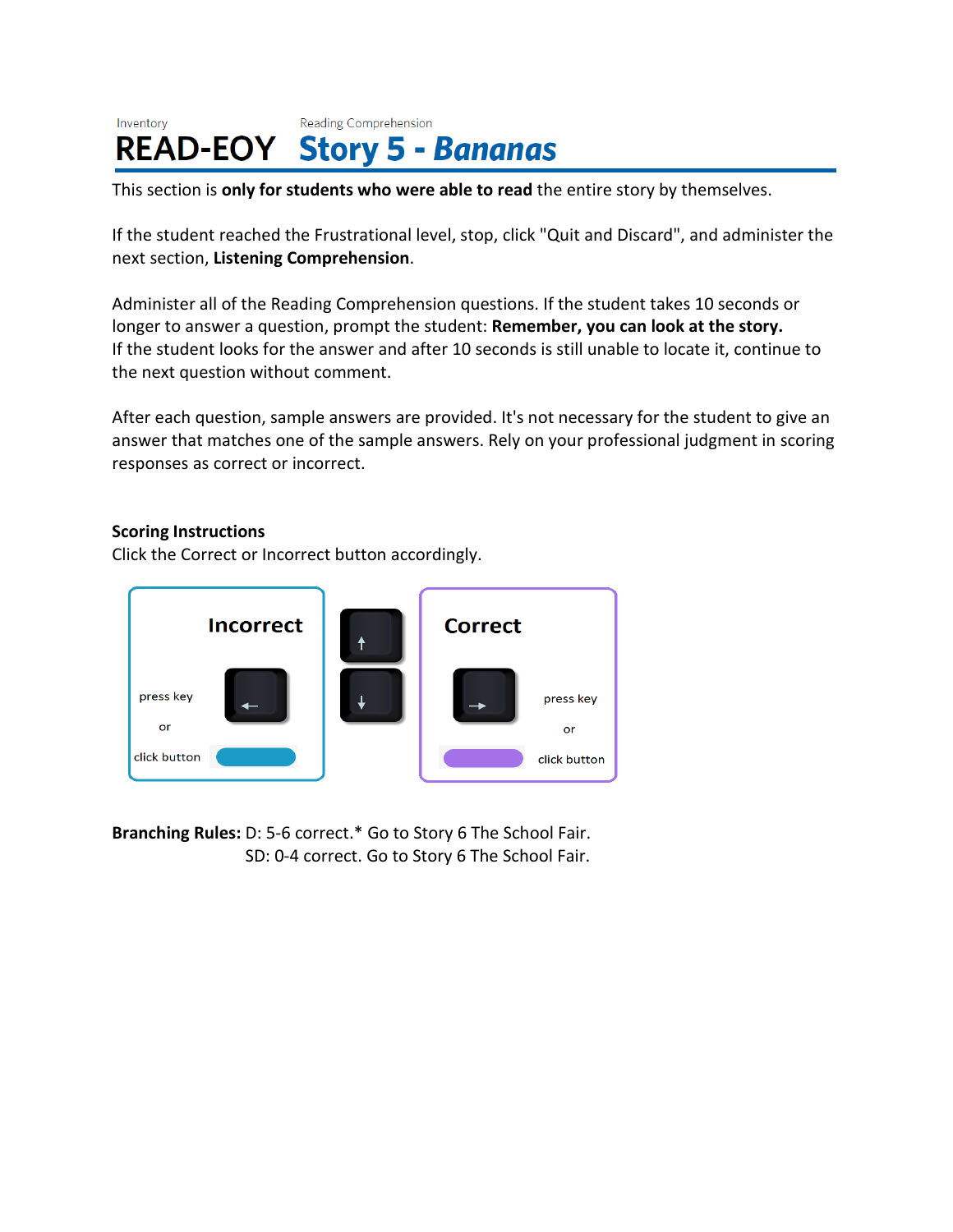#### Reading Comprehension Inventory **READ-EOY Story 5 - Bananas**

This section is **only for students who were able to read** the entire story by themselves.

If the student reached the Frustrational level, stop, click "Quit and Discard", and administer the next section, **Listening Comprehension**.

Administer all of the Reading Comprehension questions. If the student takes 10 seconds or longer to answer a question, prompt the student: **Remember, you can look at the story.** If the student looks for the answer and after 10 seconds is still unable to locate it, continue to the next question without comment.

After each question, sample answers are provided. It's not necessary for the student to give an answer that matches one of the sample answers. Rely on your professional judgment in scoring responses as correct or incorrect.

#### **Scoring Instructions**

Click the Correct or Incorrect button accordingly.



**Branching Rules:** D: 5-6 correct.\* Go to Story 6 The School Fair. SD: 0-4 correct. Go to Story 6 The School Fair.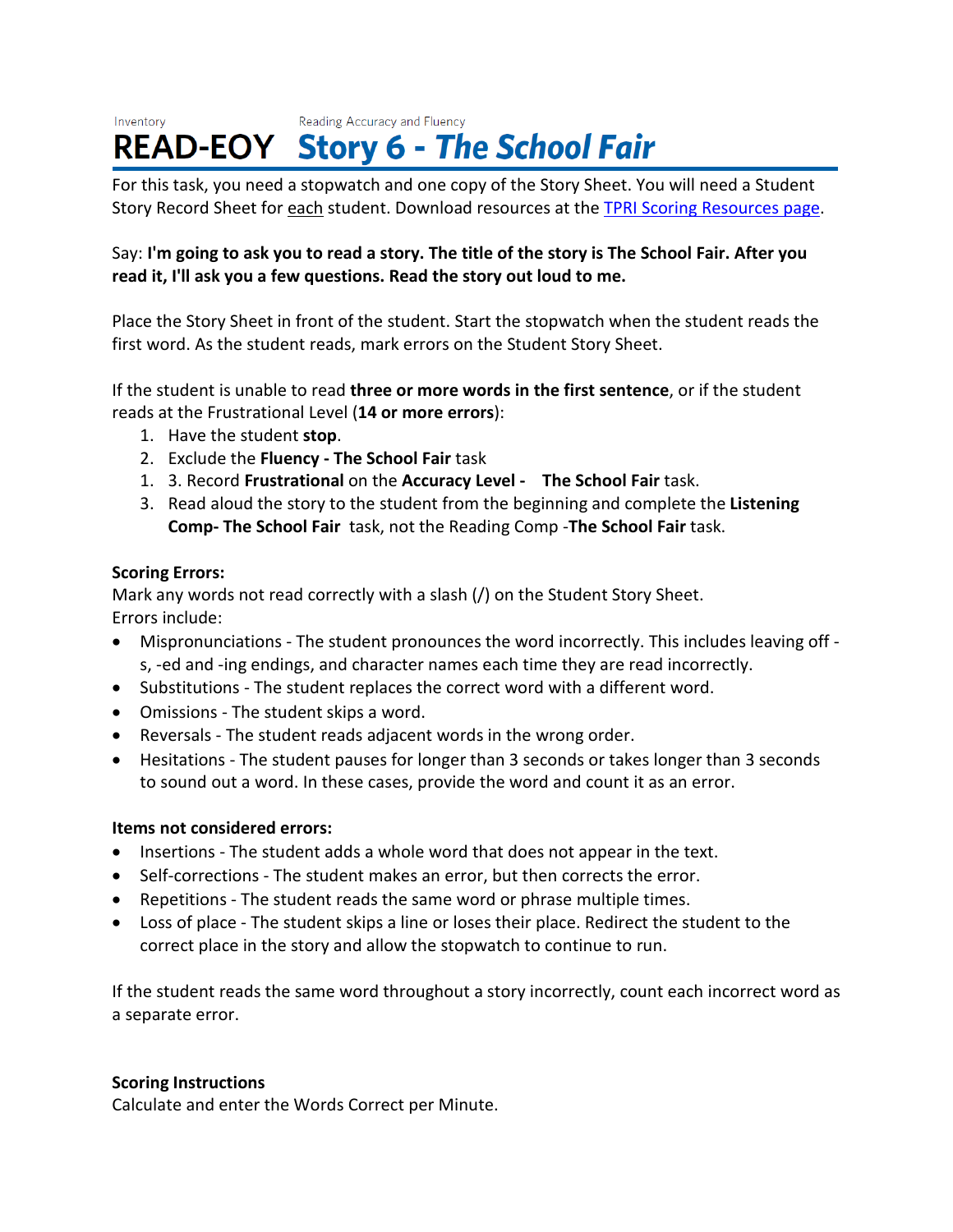#### Reading Accuracy and Fluency Inventory **READ-EOY Story 6 - The School Fair**

For this task, you need a stopwatch and one copy of the Story Sheet. You will need a Student Story Record Sheet for each student. Download resources at the [TPRI Scoring Resources page.](https://public.cliengage.org/training/support/how-to-guides/tpri-scoring-resources/)

# Say: I'm going to ask you to read a story. The title of the story is The School Fair. After you **read it, I'll ask you a few questions. Read the story out loud to me.**

Place the Story Sheet in front of the student. Start the stopwatch when the student reads the first word. As the student reads, mark errors on the Student Story Sheet.

If the student is unable to read **three or more words in the first sentence**, or if the student reads at the Frustrational Level (**14 or more errors**):

- 1. Have the student **stop**.
- 2. Exclude the **Fluency - The School Fair** task
- 1. 3. Record **Frustrational** on the **Accuracy Level The School Fair** task.
- 3. Read aloud the story to the student from the beginning and complete the **Listening Comp- The School Fair** task, not the Reading Comp -**The School Fair** task.

# **Scoring Errors:**

Mark any words not read correctly with a slash (/) on the Student Story Sheet. Errors include:

- Mispronunciations The student pronounces the word incorrectly. This includes leaving off s, -ed and -ing endings, and character names each time they are read incorrectly.
- Substitutions The student replaces the correct word with a different word.
- Omissions The student skips a word.
- Reversals The student reads adjacent words in the wrong order.
- Hesitations The student pauses for longer than 3 seconds or takes longer than 3 seconds to sound out a word. In these cases, provide the word and count it as an error.

# **Items not considered errors:**

- Insertions The student adds a whole word that does not appear in the text.
- Self-corrections The student makes an error, but then corrects the error.
- Repetitions The student reads the same word or phrase multiple times.
- Loss of place The student skips a line or loses their place. Redirect the student to the correct place in the story and allow the stopwatch to continue to run.

If the student reads the same word throughout a story incorrectly, count each incorrect word as a separate error.

# **Scoring Instructions**